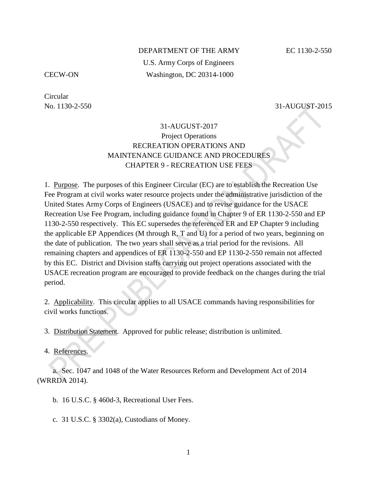# DEPARTMENT OF THE ARMY EC 1130-2-550 U.S. Army Corps of Engineers CECW-ON Washington, DC 20314-1000

Circular

#### No. 1130-2-550 31-AUGUST-2015

# 31-AUGUST-2017 Project Operations RECREATION OPERATIONS AND MAINTENANCE GUIDANCE AND PROCEDURES CHAPTER 9 - RECREATION USE FEES

1. Purpose. The purposes of this Engineer Circular (EC) are to establish the Recreation Use Fee Program at civil works water resource projects under the administrative jurisdiction of the United States Army Corps of Engineers (USACE) and to revise guidance for the USACE Recreation Use Fee Program, including guidance found in Chapter 9 of ER 1130-2-550 and EP 1130-2-550 respectively. This EC supersedes the referenced ER and EP Chapter 9 including the applicable EP Appendices (M through R, T and U) for a period of two years, beginning on the date of publication. The two years shall serve as a trial period for the revisions. All remaining chapters and appendices of ER 1130-2-550 and EP 1130-2-550 remain not affected by this EC. District and Division staffs carrying out project operations associated with the USACE recreation program are encouraged to provide feedback on the changes during the trial period.

2. Applicability. This circular applies to all USACE commands having responsibilities for civil works functions.

3. Distribution Statement. Approved for public release; distribution is unlimited.

4. References.

a. Sec. 1047 and 1048 of the Water Resources Reform and Development Act of 2014 (WRRDA 2014).

b. 16 U.S.C. § 460d-3, Recreational User Fees.

c. 31 U.S.C. § 3302(a), Custodians of Money.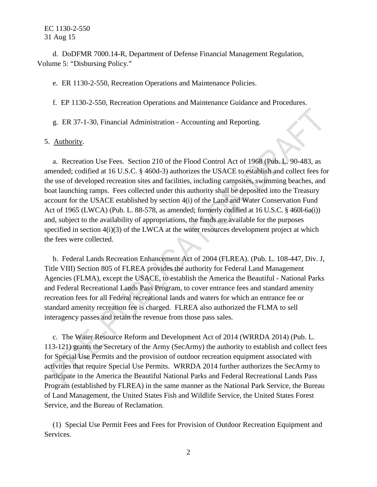EC 1130-2-550 31 Aug 15

d. DoDFMR 7000.14-R, Department of Defense Financial Management Regulation, Volume 5: "Disbursing Policy."

e. ER 1130-2-550, Recreation Operations and Maintenance Policies.

f. EP 1130-2-550, Recreation Operations and Maintenance Guidance and Procedures.

g. ER 37-1-30, Financial Administration - Accounting and Reporting.

5. Authority.

a. Recreation Use Fees. Section 210 of the Flood Control Act of 1968 (Pub. L. 90-483, as amended; codified at 16 U.S.C. § 460d-3) authorizes the USACE to establish and collect fees for the use of developed recreation sites and facilities, including campsites, swimming beaches, and boat launching ramps. Fees collected under this authority shall be deposited into the Treasury account for the USACE established by section 4(i) of the Land and Water Conservation Fund Act of 1965 (LWCA) (Pub. L. 88-578, as amended; formerly codified at 16 U.S.C. § 460l-6a(i)) and, subject to the availability of appropriations, the funds are available for the purposes specified in section 4(i)(3) of the LWCA at the water resources development project at which the fees were collected.

b. Federal Lands Recreation Enhancement Act of 2004 (FLREA). (Pub. L. 108-447, Div. J, Title VIII) Section 805 of FLREA provides the authority for Federal Land Management Agencies (FLMA), except the USACE, to establish the America the Beautiful - National Parks and Federal Recreational Lands Pass Program, to cover entrance fees and standard amenity recreation fees for all Federal recreational lands and waters for which an entrance fee or standard amenity recreation fee is charged. FLREA also authorized the FLMA to sell interagency passes and retain the revenue from those pass sales.

c. The Water Resource Reform and Development Act of 2014 (WRRDA 2014) (Pub. L. 113-121) grants the Secretary of the Army (SecArmy) the authority to establish and collect fees for Special Use Permits and the provision of outdoor recreation equipment associated with activities that require Special Use Permits. WRRDA 2014 further authorizes the SecArmy to participate in the America the Beautiful National Parks and Federal Recreational Lands Pass Program (established by FLREA) in the same manner as the National Park Service, the Bureau of Land Management, the United States Fish and Wildlife Service, the United States Forest Service, and the Bureau of Reclamation.

(1) Special Use Permit Fees and Fees for Provision of Outdoor Recreation Equipment and Services.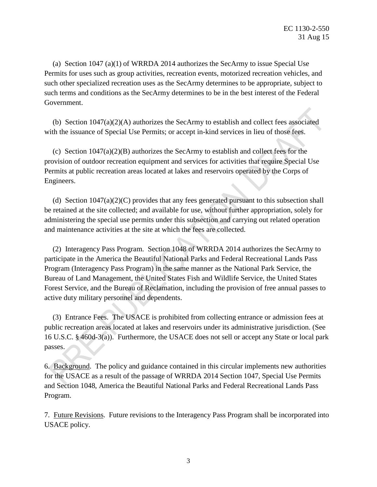(a) Section 1047 (a)(1) of WRRDA 2014 authorizes the SecArmy to issue Special Use Permits for uses such as group activities, recreation events, motorized recreation vehicles, and such other specialized recreation uses as the SecArmy determines to be appropriate, subject to such terms and conditions as the SecArmy determines to be in the best interest of the Federal Government.

(b) Section  $1047(a)(2)(A)$  authorizes the SecArmy to establish and collect fees associated with the issuance of Special Use Permits; or accept in-kind services in lieu of those fees.

(c) Section 1047(a)(2)(B) authorizes the SecArmy to establish and collect fees for the provision of outdoor recreation equipment and services for activities that require Special Use Permits at public recreation areas located at lakes and reservoirs operated by the Corps of Engineers.

(d) Section  $1047(a)(2)(C)$  provides that any fees generated pursuant to this subsection shall be retained at the site collected; and available for use, without further appropriation, solely for administering the special use permits under this subsection and carrying out related operation and maintenance activities at the site at which the fees are collected.

(2) Interagency Pass Program. Section 1048 of WRRDA 2014 authorizes the SecArmy to participate in the America the Beautiful National Parks and Federal Recreational Lands Pass Program (Interagency Pass Program) in the same manner as the National Park Service, the Bureau of Land Management, the United States Fish and Wildlife Service, the United States Forest Service, and the Bureau of Reclamation, including the provision of free annual passes to active duty military personnel and dependents.

(3) Entrance Fees. The USACE is prohibited from collecting entrance or admission fees at public recreation areas located at lakes and reservoirs under its administrative jurisdiction. (See 16 U.S.C. § 460d-3(a)). Furthermore, the USACE does not sell or accept any State or local park passes.

6. Background. The policy and guidance contained in this circular implements new authorities for the USACE as a result of the passage of WRRDA 2014 Section 1047, Special Use Permits and Section 1048, America the Beautiful National Parks and Federal Recreational Lands Pass Program.

7. Future Revisions. Future revisions to the Interagency Pass Program shall be incorporated into USACE policy.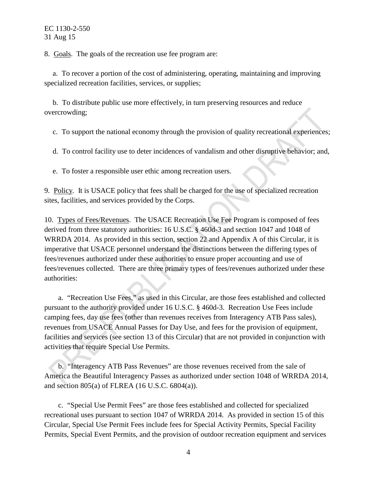8. Goals. The goals of the recreation use fee program are:

a. To recover a portion of the cost of administering, operating, maintaining and improving specialized recreation facilities, services, or supplies;

b. To distribute public use more effectively, in turn preserving resources and reduce overcrowding;

c. To support the national economy through the provision of quality recreational experiences;

d. To control facility use to deter incidences of vandalism and other disruptive behavior; and,

e. To foster a responsible user ethic among recreation users.

9. Policy. It is USACE policy that fees shall be charged for the use of specialized recreation sites, facilities, and services provided by the Corps.

10. Types of Fees/Revenues. The USACE Recreation Use Fee Program is composed of fees derived from three statutory authorities: 16 U.S.C. § 460d-3 and section 1047 and 1048 of WRRDA 2014. As provided in this section, section 22 and Appendix A of this Circular, it is imperative that USACE personnel understand the distinctions between the differing types of fees/revenues authorized under these authorities to ensure proper accounting and use of fees/revenues collected. There are three primary types of fees/revenues authorized under these authorities:

a. "Recreation Use Fees," as used in this Circular, are those fees established and collected pursuant to the authority provided under 16 U.S.C. § 460d-3. Recreation Use Fees include camping fees, day use fees (other than revenues receives from Interagency ATB Pass sales), revenues from USACE Annual Passes for Day Use, and fees for the provision of equipment, facilities and services (see section 13 of this Circular) that are not provided in conjunction with activities that require Special Use Permits.

b. "Interagency ATB Pass Revenues" are those revenues received from the sale of America the Beautiful Interagency Passes as authorized under section 1048 of WRRDA 2014, and section 805(a) of FLREA (16 U.S.C. 6804(a)).

c. "Special Use Permit Fees" are those fees established and collected for specialized recreational uses pursuant to section 1047 of WRRDA 2014. As provided in section 15 of this Circular, Special Use Permit Fees include fees for Special Activity Permits, Special Facility Permits, Special Event Permits, and the provision of outdoor recreation equipment and services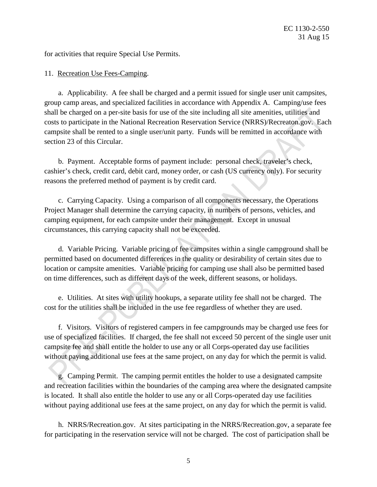for activities that require Special Use Permits.

#### 11. Recreation Use Fees-Camping.

a. Applicability. A fee shall be charged and a permit issued for single user unit campsites, group camp areas, and specialized facilities in accordance with Appendix A. Camping/use fees shall be charged on a per-site basis for use of the site including all site amenities, utilities and costs to participate in the National Recreation Reservation Service (NRRS)/Recreaton.gov. Each campsite shall be rented to a single user/unit party. Funds will be remitted in accordance with section 23 of this Circular.

b. Payment. Acceptable forms of payment include: personal check, traveler's check, cashier's check, credit card, debit card, money order, or cash (US currency only). For security reasons the preferred method of payment is by credit card.

c. Carrying Capacity. Using a comparison of all components necessary, the Operations Project Manager shall determine the carrying capacity, in numbers of persons, vehicles, and camping equipment, for each campsite under their management. Except in unusual circumstances, this carrying capacity shall not be exceeded.

d. Variable Pricing. Variable pricing of fee campsites within a single campground shall be permitted based on documented differences in the quality or desirability of certain sites due to location or campsite amenities. Variable pricing for camping use shall also be permitted based on time differences, such as different days of the week, different seasons, or holidays.

e. Utilities. At sites with utility hookups, a separate utility fee shall not be charged. The cost for the utilities shall be included in the use fee regardless of whether they are used.

f. Visitors. Visitors of registered campers in fee campgrounds may be charged use fees for use of specialized facilities. If charged, the fee shall not exceed 50 percent of the single user unit campsite fee and shall entitle the holder to use any or all Corps-operated day use facilities without paying additional use fees at the same project, on any day for which the permit is valid.

g. Camping Permit. The camping permit entitles the holder to use a designated campsite and recreation facilities within the boundaries of the camping area where the designated campsite is located. It shall also entitle the holder to use any or all Corps-operated day use facilities without paying additional use fees at the same project, on any day for which the permit is valid.

h. NRRS/Recreation.gov. At sites participating in the NRRS/Recreation.gov, a separate fee for participating in the reservation service will not be charged. The cost of participation shall be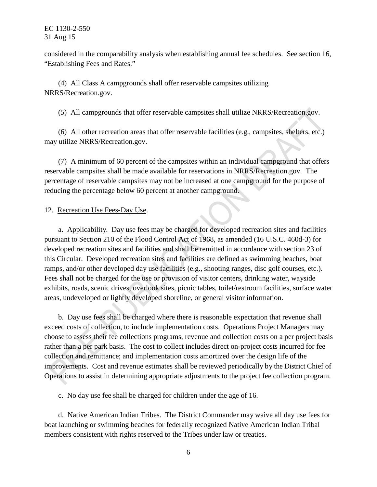considered in the comparability analysis when establishing annual fee schedules. See section 16, "Establishing Fees and Rates."

(4) All Class A campgrounds shall offer reservable campsites utilizing NRRS/Recreation.gov.

(5) All campgrounds that offer reservable campsites shall utilize NRRS/Recreation.gov.

(6) All other recreation areas that offer reservable facilities (e.g., campsites, shelters, etc.) may utilize NRRS/Recreation.gov. 

(7) A minimum of 60 percent of the campsites within an individual campground that offers reservable campsites shall be made available for reservations in NRRS/Recreation.gov. The percentage of reservable campsites may not be increased at one campground for the purpose of reducing the percentage below 60 percent at another campground.

## 12. Recreation Use Fees-Day Use.

a. Applicability. Day use fees may be charged for developed recreation sites and facilities pursuant to Section 210 of the Flood Control Act of 1968, as amended (16 U.S.C. 460d-3) for developed recreation sites and facilities and shall be remitted in accordance with section 23 of this Circular. Developed recreation sites and facilities are defined as swimming beaches, boat ramps, and/or other developed day use facilities (e.g., shooting ranges, disc golf courses, etc.). Fees shall not be charged for the use or provision of visitor centers, drinking water, wayside exhibits, roads, scenic drives, overlook sites, picnic tables, toilet/restroom facilities, surface water areas, undeveloped or lightly developed shoreline, or general visitor information.

b. Day use fees shall be charged where there is reasonable expectation that revenue shall exceed costs of collection, to include implementation costs. Operations Project Managers may choose to assess their fee collections programs, revenue and collection costs on a per project basis rather than a per park basis. The cost to collect includes direct on-project costs incurred for fee collection and remittance; and implementation costs amortized over the design life of the improvements. Cost and revenue estimates shall be reviewed periodically by the District Chief of Operations to assist in determining appropriate adjustments to the project fee collection program.

c. No day use fee shall be charged for children under the age of 16.

d. Native American Indian Tribes. The District Commander may waive all day use fees for boat launching or swimming beaches for federally recognized Native American Indian Tribal members consistent with rights reserved to the Tribes under law or treaties.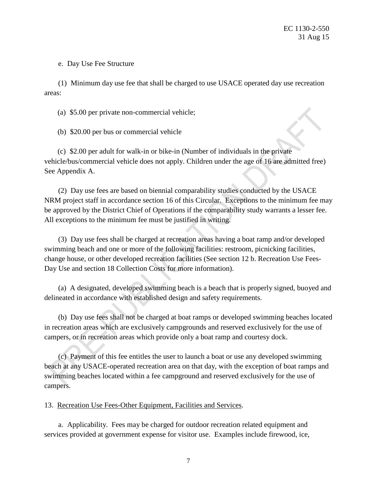e. Day Use Fee Structure

(1) Minimum day use fee that shall be charged to use USACE operated day use recreation areas:

(a) \$5.00 per private non-commercial vehicle;

(b) \$20.00 per bus or commercial vehicle

(c) \$2.00 per adult for walk-in or bike-in (Number of individuals in the private vehicle/bus/commercial vehicle does not apply. Children under the age of 16 are admitted free) See Appendix A.

(2) Day use fees are based on biennial comparability studies conducted by the USACE NRM project staff in accordance section 16 of this Circular. Exceptions to the minimum fee may be approved by the District Chief of Operations if the comparability study warrants a lesser fee. All exceptions to the minimum fee must be justified in writing.

(3) Day use fees shall be charged at recreation areas having a boat ramp and/or developed swimming beach and one or more of the following facilities: restroom, picnicking facilities, change house, or other developed recreation facilities (See section 12 b. Recreation Use Fees-Day Use and section 18 Collection Costs for more information).

(a) A designated, developed swimming beach is a beach that is properly signed, buoyed and delineated in accordance with established design and safety requirements.

(b) Day use fees shall not be charged at boat ramps or developed swimming beaches located in recreation areas which are exclusively campgrounds and reserved exclusively for the use of campers, or in recreation areas which provide only a boat ramp and courtesy dock.

(c) Payment of this fee entitles the user to launch a boat or use any developed swimming beach at any USACE-operated recreation area on that day, with the exception of boat ramps and swimming beaches located within a fee campground and reserved exclusively for the use of campers.

13. Recreation Use Fees-Other Equipment, Facilities and Services.

a. Applicability. Fees may be charged for outdoor recreation related equipment and services provided at government expense for visitor use. Examples include firewood, ice,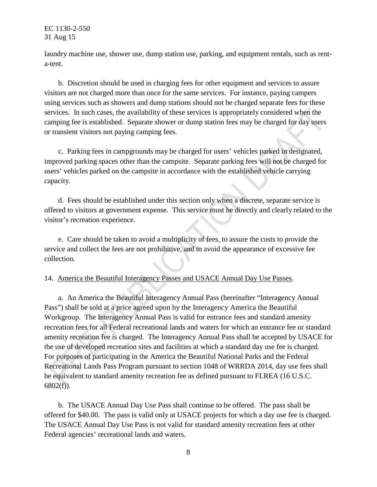EC 1130-2-550 31 Aug 15

laundry machine use, shower use, dump station use, parking, and equipment rentals, such as renta-tent.

b. Discretion should be used in charging fees for other equipment and services to assure visitors are not charged more than once for the same services. For instance, paying campers using services such as showers and dump stations should not be charged separate fees for these services. In such cases, the availability of these services is appropriately considered when the camping fee is established. Separate shower or dump station fees may be charged for day users or transient visitors not paying camping fees.

c. Parking fees in campgrounds may be charged for users' vehicles parked in designated, improved parking spaces other than the campsite. Separate parking fees will not be charged for users' vehicles parked on the campsite in accordance with the established vehicle carrying capacity.

d. Fees should be established under this section only when a discrete, separate service is offered to visitors at government expense. This service must be directly and clearly related to the visitor's recreation experience.

e. Care should be taken to avoid a multiplicity of fees, to assure the costs to provide the service and collect the fees are not prohibitive, and to avoid the appearance of excessive fee collection.

# 14. America the Beautiful Interagency Passes and USACE Annual Day Use Passes.

a. An America the Beautiful Interagency Annual Pass (hereinafter "Interagency Annual Pass") shall be sold at a price agreed upon by the Interagency America the Beautiful Workgroup. The Interagency Annual Pass is valid for entrance fees and standard amenity recreation fees for all Federal recreational lands and waters for which an entrance fee or standard amenity recreation fee is charged. The Interagency Annual Pass shall be accepted by USACE for the use of developed recreation sites and facilities at which a standard day use fee is charged. For purposes of participating in the America the Beautiful National Parks and the Federal Recreational Lands Pass Program pursuant to section 1048 of WRRDA 2014, day use fees shall be equivalent to standard amenity recreation fee as defined pursuant to FLREA (16 U.S.C. 6802(f)).

b. The USACE Annual Day Use Pass shall continue to be offered. The pass shall be offered for \$40.00. The pass is valid only at USACE projects for which a day use fee is charged. The USACE Annual Day Use Pass is not valid for standard amenity recreation fees at other Federal agencies' recreational lands and waters.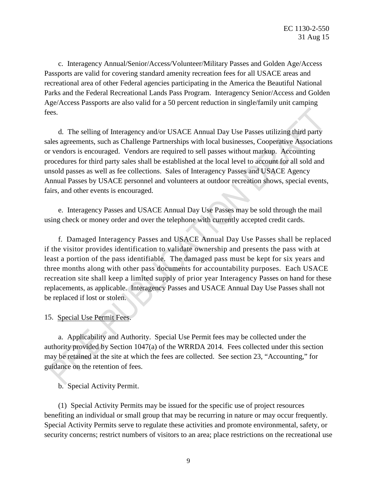c. Interagency Annual/Senior/Access/Volunteer/Military Passes and Golden Age/Access Passports are valid for covering standard amenity recreation fees for all USACE areas and recreational area of other Federal agencies participating in the America the Beautiful National Parks and the Federal Recreational Lands Pass Program. Interagency Senior/Access and Golden Age/Access Passports are also valid for a 50 percent reduction in single/family unit camping fees.

d. The selling of Interagency and/or USACE Annual Day Use Passes utilizing third party sales agreements, such as Challenge Partnerships with local businesses, Cooperative Associations or vendors is encouraged. Vendors are required to sell passes without markup. Accounting procedures for third party sales shall be established at the local level to account for all sold and unsold passes as well as fee collections. Sales of Interagency Passes and USACE Agency Annual Passes by USACE personnel and volunteers at outdoor recreation shows, special events, fairs, and other events is encouraged.

e. Interagency Passes and USACE Annual Day Use Passes may be sold through the mail using check or money order and over the telephone with currently accepted credit cards.

f. Damaged Interagency Passes and USACE Annual Day Use Passes shall be replaced if the visitor provides identification to validate ownership and presents the pass with at least a portion of the pass identifiable. The damaged pass must be kept for six years and three months along with other pass documents for accountability purposes. Each USACE recreation site shall keep a limited supply of prior year Interagency Passes on hand for these replacements, as applicable. Interagency Passes and USACE Annual Day Use Passes shall not be replaced if lost or stolen.

# 15. Special Use Permit Fees.

a. Applicability and Authority. Special Use Permit fees may be collected under the authority provided by Section 1047(a) of the WRRDA 2014. Fees collected under this section may be retained at the site at which the fees are collected. See section 23, "Accounting," for guidance on the retention of fees.

b. Special Activity Permit.

(1) Special Activity Permits may be issued for the specific use of project resources benefiting an individual or small group that may be recurring in nature or may occur frequently. Special Activity Permits serve to regulate these activities and promote environmental, safety, or security concerns; restrict numbers of visitors to an area; place restrictions on the recreational use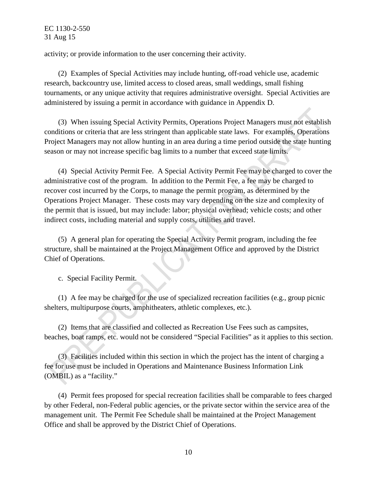# EC 1130-2-550 31 Aug 15

activity; or provide information to the user concerning their activity.

(2) Examples of Special Activities may include hunting, off-road vehicle use, academic research, backcountry use, limited access to closed areas, small weddings, small fishing tournaments, or any unique activity that requires administrative oversight. Special Activities are administered by issuing a permit in accordance with guidance in Appendix D.

(3) When issuing Special Activity Permits, Operations Project Managers must not establish conditions or criteria that are less stringent than applicable state laws. For examples, Operations Project Managers may not allow hunting in an area during a time period outside the state hunting season or may not increase specific bag limits to a number that exceed state limits.

(4) Special Activity Permit Fee. A Special Activity Permit Fee may be charged to cover the administrative cost of the program. In addition to the Permit Fee, a fee may be charged to recover cost incurred by the Corps, to manage the permit program, as determined by the Operations Project Manager. These costs may vary depending on the size and complexity of the permit that is issued, but may include: labor; physical overhead; vehicle costs; and other indirect costs, including material and supply costs, utilities and travel.

(5) A general plan for operating the Special Activity Permit program, including the fee structure, shall be maintained at the Project Management Office and approved by the District Chief of Operations.

c. Special Facility Permit.

(1) A fee may be charged for the use of specialized recreation facilities (e.g., group picnic shelters, multipurpose courts, amphitheaters, athletic complexes, etc.).

(2) Items that are classified and collected as Recreation Use Fees such as campsites, beaches, boat ramps, etc. would not be considered "Special Facilities" as it applies to this section.

(3) Facilities included within this section in which the project has the intent of charging a fee for use must be included in Operations and Maintenance Business Information Link (OMBIL) as a "facility."

(4) Permit fees proposed for special recreation facilities shall be comparable to fees charged by other Federal, non-Federal public agencies, or the private sector within the service area of the management unit. The Permit Fee Schedule shall be maintained at the Project Management Office and shall be approved by the District Chief of Operations.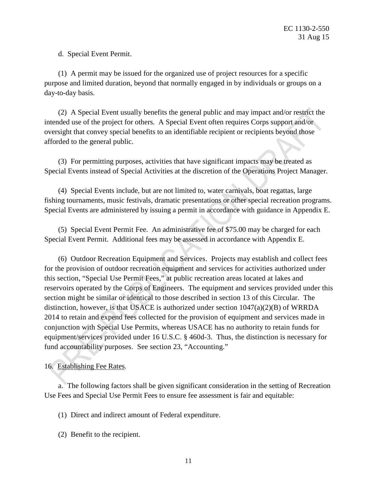d. Special Event Permit.

(1) A permit may be issued for the organized use of project resources for a specific purpose and limited duration, beyond that normally engaged in by individuals or groups on a day-to-day basis.

(2) A Special Event usually benefits the general public and may impact and/or restrict the intended use of the project for others. A Special Event often requires Corps support and/or oversight that convey special benefits to an identifiable recipient or recipients beyond those afforded to the general public.

(3) For permitting purposes, activities that have significant impacts may be treated as Special Events instead of Special Activities at the discretion of the Operations Project Manager.

(4) Special Events include, but are not limited to, water carnivals, boat regattas, large fishing tournaments, music festivals, dramatic presentations or other special recreation programs. Special Events are administered by issuing a permit in accordance with guidance in Appendix E.

(5) Special Event Permit Fee. An administrative fee of \$75.00 may be charged for each Special Event Permit. Additional fees may be assessed in accordance with Appendix E.

(6) Outdoor Recreation Equipment and Services. Projects may establish and collect fees for the provision of outdoor recreation equipment and services for activities authorized under this section, "Special Use Permit Fees," at public recreation areas located at lakes and reservoirs operated by the Corps of Engineers. The equipment and services provided under this section might be similar or identical to those described in section 13 of this Circular. The distinction, however, is that USACE is authorized under section 1047(a)(2)(B) of WRRDA 2014 to retain and expend fees collected for the provision of equipment and services made in conjunction with Special Use Permits, whereas USACE has no authority to retain funds for equipment/services provided under 16 U.S.C. § 460d-3. Thus, the distinction is necessary for fund accountability purposes. See section 23, "Accounting."

# 16. Establishing Fee Rates.

a. The following factors shall be given significant consideration in the setting of Recreation Use Fees and Special Use Permit Fees to ensure fee assessment is fair and equitable:

(1) Direct and indirect amount of Federal expenditure.

(2) Benefit to the recipient.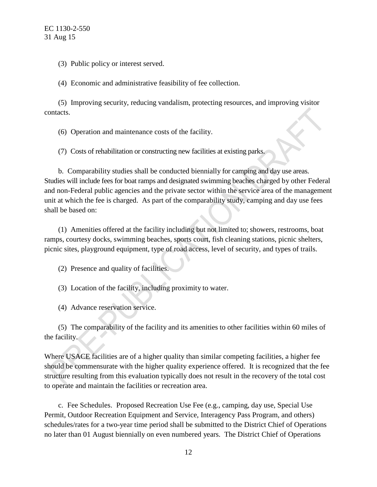(3) Public policy or interest served.

(4) Economic and administrative feasibility of fee collection.

(5) Improving security, reducing vandalism, protecting resources, and improving visitor contacts.

(6) Operation and maintenance costs of the facility.

(7) Costs of rehabilitation or constructing new facilities at existing parks.

b. Comparability studies shall be conducted biennially for camping and day use areas. Studies will include fees for boat ramps and designated swimming beaches charged by other Federal and non-Federal public agencies and the private sector within the service area of the management unit at which the fee is charged. As part of the comparability study, camping and day use fees shall be based on:

(1) Amenities offered at the facility including but not limited to; showers, restrooms, boat ramps, courtesy docks, swimming beaches, sports court, fish cleaning stations, picnic shelters, picnic sites, playground equipment, type of road access, level of security, and types of trails.

(2) Presence and quality of facilities.

- (3) Location of the facility, including proximity to water.
- (4) Advance reservation service.

(5) The comparability of the facility and its amenities to other facilities within 60 miles of the facility.

Where USACE facilities are of a higher quality than similar competing facilities, a higher fee should be commensurate with the higher quality experience offered. It is recognized that the fee structure resulting from this evaluation typically does not result in the recovery of the total cost to operate and maintain the facilities or recreation area.

c. Fee Schedules. Proposed Recreation Use Fee (e.g., camping, day use, Special Use Permit, Outdoor Recreation Equipment and Service, Interagency Pass Program, and others) schedules/rates for a two-year time period shall be submitted to the District Chief of Operations no later than 01 August biennially on even numbered years. The District Chief of Operations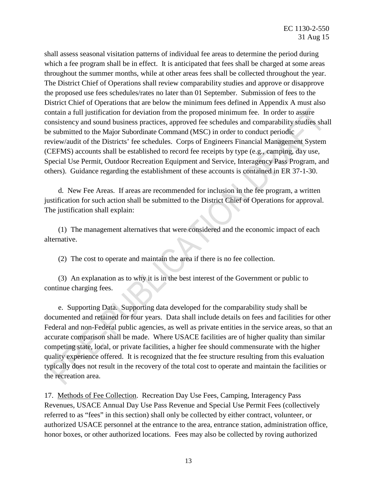shall assess seasonal visitation patterns of individual fee areas to determine the period during which a fee program shall be in effect. It is anticipated that fees shall be charged at some areas throughout the summer months, while at other areas fees shall be collected throughout the year. The District Chief of Operations shall review comparability studies and approve or disapprove the proposed use fees schedules/rates no later than 01 September. Submission of fees to the District Chief of Operations that are below the minimum fees defined in Appendix A must also contain a full justification for deviation from the proposed minimum fee. In order to assure consistency and sound business practices, approved fee schedules and comparability studies shall be submitted to the Major Subordinate Command (MSC) in order to conduct periodic review/audit of the Districts' fee schedules. Corps of Engineers Financial Management System (CEFMS) accounts shall be established to record fee receipts by type (e.g., camping, day use, Special Use Permit, Outdoor Recreation Equipment and Service, Interagency Pass Program, and others). Guidance regarding the establishment of these accounts is contained in ER 37-1-30.

d. New Fee Areas. If areas are recommended for inclusion in the fee program, a written justification for such action shall be submitted to the District Chief of Operations for approval. The justification shall explain:

(1) The management alternatives that were considered and the economic impact of each alternative.

(2) The cost to operate and maintain the area if there is no fee collection.

(3) An explanation as to why it is in the best interest of the Government or public to continue charging fees.

e. Supporting Data. Supporting data developed for the comparability study shall be documented and retained for four years. Data shall include details on fees and facilities for other Federal and non-Federal public agencies, as well as private entities in the service areas, so that an accurate comparison shall be made. Where USACE facilities are of higher quality than similar competing state, local, or private facilities, a higher fee should commensurate with the higher quality experience offered. It is recognized that the fee structure resulting from this evaluation typically does not result in the recovery of the total cost to operate and maintain the facilities or the recreation area.

17. Methods of Fee Collection. Recreation Day Use Fees, Camping, Interagency Pass Revenues, USACE Annual Day Use Pass Revenue and Special Use Permit Fees (collectively referred to as "fees" in this section) shall only be collected by either contract, volunteer, or authorized USACE personnel at the entrance to the area, entrance station, administration office, honor boxes, or other authorized locations. Fees may also be collected by roving authorized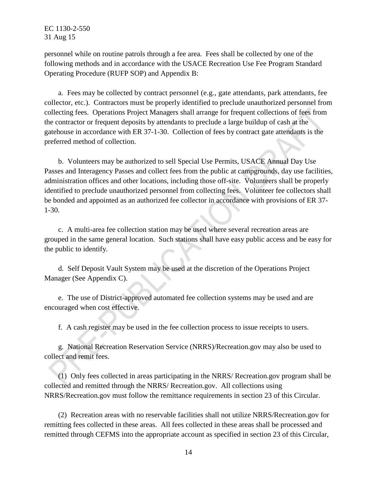EC 1130-2-550 31 Aug 15

personnel while on routine patrols through a fee area. Fees shall be collected by one of the following methods and in accordance with the USACE Recreation Use Fee Program Standard Operating Procedure (RUFP SOP) and Appendix B:

a. Fees may be collected by contract personnel (e.g., gate attendants, park attendants, fee collector, etc.). Contractors must be properly identified to preclude unauthorized personnel from collecting fees. Operations Project Managers shall arrange for frequent collections of fees from the contractor or frequent deposits by attendants to preclude a large buildup of cash at the gatehouse in accordance with ER 37-1-30. Collection of fees by contract gate attendants is the preferred method of collection.

b. Volunteers may be authorized to sell Special Use Permits, USACE Annual Day Use Passes and Interagency Passes and collect fees from the public at campgrounds, day use facilities, administration offices and other locations, including those off-site. Volunteers shall be properly identified to preclude unauthorized personnel from collecting fees. Volunteer fee collectors shall be bonded and appointed as an authorized fee collector in accordance with provisions of ER 37- 1-30.

c. A multi-area fee collection station may be used where several recreation areas are grouped in the same general location. Such stations shall have easy public access and be easy for the public to identify.

d. Self Deposit Vault System may be used at the discretion of the Operations Project Manager (See Appendix C).

e. The use of District-approved automated fee collection systems may be used and are encouraged when cost effective.

f. A cash register may be used in the fee collection process to issue receipts to users.

g. National Recreation Reservation Service (NRRS)/Recreation.gov may also be used to collect and remit fees.

(1) Only fees collected in areas participating in the NRRS/ Recreation.gov program shall be collected and remitted through the NRRS/ Recreation.gov. All collections using NRRS/Recreation.gov must follow the remittance requirements in section 23 of this Circular.

(2) Recreation areas with no reservable facilities shall not utilize NRRS/Recreation.gov for remitting fees collected in these areas. All fees collected in these areas shall be processed and remitted through CEFMS into the appropriate account as specified in section 23 of this Circular,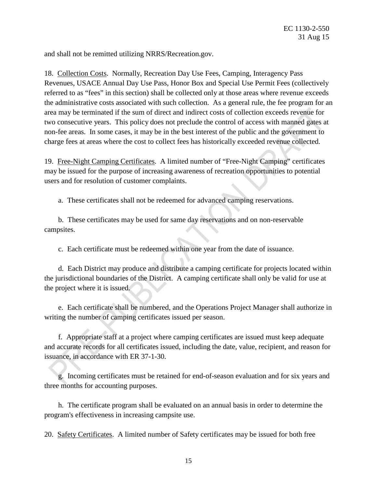and shall not be remitted utilizing NRRS/Recreation.gov.

18. Collection Costs. Normally, Recreation Day Use Fees, Camping, Interagency Pass Revenues, USACE Annual Day Use Pass, Honor Box and Special Use Permit Fees (collectively referred to as "fees" in this section) shall be collected only at those areas where revenue exceeds the administrative costs associated with such collection. As a general rule, the fee program for an area may be terminated if the sum of direct and indirect costs of collection exceeds revenue for two consecutive years. This policy does not preclude the control of access with manned gates at non-fee areas. In some cases, it may be in the best interest of the public and the government to charge fees at areas where the cost to collect fees has historically exceeded revenue collected.

19. Free-Night Camping Certificates. A limited number of "Free-Night Camping" certificates may be issued for the purpose of increasing awareness of recreation opportunities to potential users and for resolution of customer complaints.

a. These certificates shall not be redeemed for advanced camping reservations.

b. These certificates may be used for same day reservations and on non-reservable campsites.

c. Each certificate must be redeemed within one year from the date of issuance.

d. Each District may produce and distribute a camping certificate for projects located within the jurisdictional boundaries of the District. A camping certificate shall only be valid for use at the project where it is issued.

e. Each certificate shall be numbered, and the Operations Project Manager shall authorize in writing the number of camping certificates issued per season.

f. Appropriate staff at a project where camping certificates are issued must keep adequate and accurate records for all certificates issued, including the date, value, recipient, and reason for issuance, in accordance with ER 37-1-30.

g. Incoming certificates must be retained for end-of-season evaluation and for six years and three months for accounting purposes.

h. The certificate program shall be evaluated on an annual basis in order to determine the program's effectiveness in increasing campsite use.

20. Safety Certificates. A limited number of Safety certificates may be issued for both free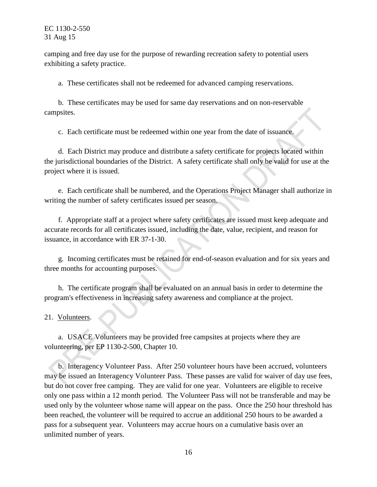EC 1130-2-550 31 Aug 15

camping and free day use for the purpose of rewarding recreation safety to potential users exhibiting a safety practice.

a. These certificates shall not be redeemed for advanced camping reservations.

b. These certificates may be used for same day reservations and on non-reservable campsites.

c. Each certificate must be redeemed within one year from the date of issuance.

d. Each District may produce and distribute a safety certificate for projects located within the jurisdictional boundaries of the District. A safety certificate shall only be valid for use at the project where it is issued.

e. Each certificate shall be numbered, and the Operations Project Manager shall authorize in writing the number of safety certificates issued per season.

f. Appropriate staff at a project where safety certificates are issued must keep adequate and accurate records for all certificates issued, including the date, value, recipient, and reason for issuance, in accordance with ER 37-1-30.

g. Incoming certificates must be retained for end-of-season evaluation and for six years and three months for accounting purposes.

h. The certificate program shall be evaluated on an annual basis in order to determine the program's effectiveness in increasing safety awareness and compliance at the project.

#### 21. Volunteers.

a. USACE Volunteers may be provided free campsites at projects where they are volunteering, per EP 1130-2-500, Chapter 10.

b. Interagency Volunteer Pass. After 250 volunteer hours have been accrued, volunteers may be issued an Interagency Volunteer Pass. These passes are valid for waiver of day use fees, but do not cover free camping. They are valid for one year. Volunteers are eligible to receive only one pass within a 12 month period. The Volunteer Pass will not be transferable and may be used only by the volunteer whose name will appear on the pass. Once the 250 hour threshold has been reached, the volunteer will be required to accrue an additional 250 hours to be awarded a pass for a subsequent year. Volunteers may accrue hours on a cumulative basis over an unlimited number of years.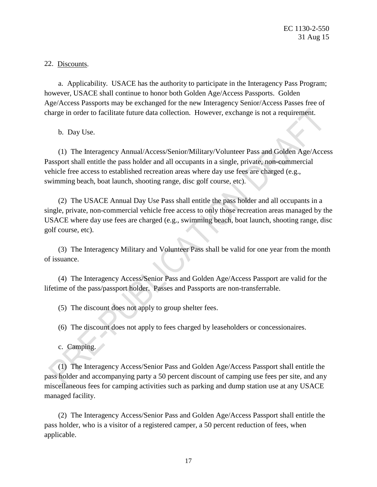# 22. Discounts.

a. Applicability. USACE has the authority to participate in the Interagency Pass Program; however, USACE shall continue to honor both Golden Age/Access Passports. Golden Age/Access Passports may be exchanged for the new Interagency Senior/Access Passes free of charge in order to facilitate future data collection. However, exchange is not a requirement.

b. Day Use.

(1) The Interagency Annual/Access/Senior/Military/Volunteer Pass and Golden Age/Access Passport shall entitle the pass holder and all occupants in a single, private, non-commercial vehicle free access to established recreation areas where day use fees are charged (e.g., swimming beach, boat launch, shooting range, disc golf course, etc).

(2) The USACE Annual Day Use Pass shall entitle the pass holder and all occupants in a single, private, non-commercial vehicle free access to only those recreation areas managed by the USACE where day use fees are charged (e.g., swimming beach, boat launch, shooting range, disc golf course, etc).

(3) The Interagency Military and Volunteer Pass shall be valid for one year from the month of issuance.

(4) The Interagency Access/Senior Pass and Golden Age/Access Passport are valid for the lifetime of the pass/passport holder. Passes and Passports are non-transferrable.

(5) The discount does not apply to group shelter fees.

(6) The discount does not apply to fees charged by leaseholders or concessionaires.

c. Camping.

(1) The Interagency Access/Senior Pass and Golden Age/Access Passport shall entitle the pass holder and accompanying party a 50 percent discount of camping use fees per site, and any miscellaneous fees for camping activities such as parking and dump station use at any USACE managed facility.

(2) The Interagency Access/Senior Pass and Golden Age/Access Passport shall entitle the pass holder, who is a visitor of a registered camper, a 50 percent reduction of fees, when applicable.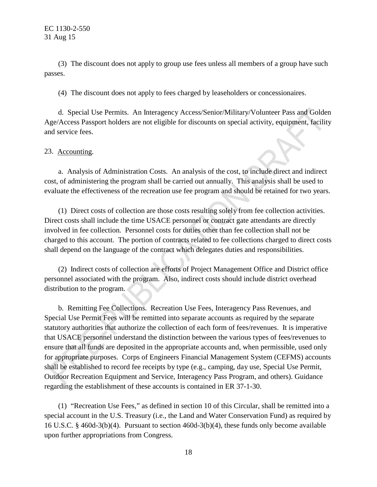(3) The discount does not apply to group use fees unless all members of a group have such passes.

(4) The discount does not apply to fees charged by leaseholders or concessionaires.

d. Special Use Permits. An Interagency Access/Senior/Military/Volunteer Pass and Golden Age/Access Passport holders are not eligible for discounts on special activity, equipment, facility and service fees.

## 23. Accounting.

a. Analysis of Administration Costs. An analysis of the cost, to include direct and indirect cost, of administering the program shall be carried out annually. This analysis shall be used to evaluate the effectiveness of the recreation use fee program and should be retained for two years.

(1) Direct costs of collection are those costs resulting solely from fee collection activities. Direct costs shall include the time USACE personnel or contract gate attendants are directly involved in fee collection. Personnel costs for duties other than fee collection shall not be charged to this account. The portion of contracts related to fee collections charged to direct costs shall depend on the language of the contract which delegates duties and responsibilities.

(2) Indirect costs of collection are efforts of Project Management Office and District office personnel associated with the program. Also, indirect costs should include district overhead distribution to the program.

b. Remitting Fee Collections. Recreation Use Fees, Interagency Pass Revenues, and Special Use Permit Fees will be remitted into separate accounts as required by the separate statutory authorities that authorize the collection of each form of fees/revenues. It is imperative that USACE personnel understand the distinction between the various types of fees/revenues to ensure that all funds are deposited in the appropriate accounts and, when permissible, used only for appropriate purposes. Corps of Engineers Financial Management System (CEFMS) accounts shall be established to record fee receipts by type (e.g., camping, day use, Special Use Permit, Outdoor Recreation Equipment and Service, Interagency Pass Program, and others). Guidance regarding the establishment of these accounts is contained in ER 37-1-30.

(1) "Recreation Use Fees," as defined in section 10 of this Circular, shall be remitted into a special account in the U.S. Treasury (i.e., the Land and Water Conservation Fund) as required by 16 U.S.C. § 460d-3(b)(4). Pursuant to section 460d-3(b)(4), these funds only become available upon further appropriations from Congress.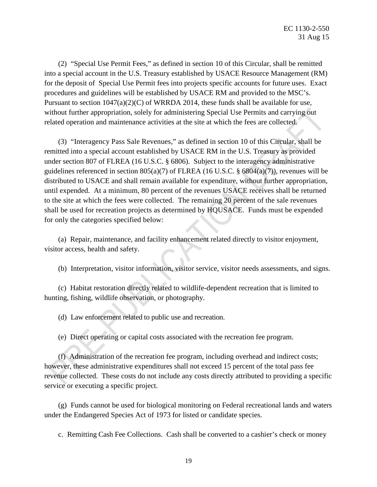(2) "Special Use Permit Fees," as defined in section 10 of this Circular, shall be remitted into a special account in the U.S. Treasury established by USACE Resource Management (RM) for the deposit of Special Use Permit fees into projects specific accounts for future uses. Exact procedures and guidelines will be established by USACE RM and provided to the MSC's. Pursuant to section  $1047(a)(2)(C)$  of WRRDA 2014, these funds shall be available for use, without further appropriation, solely for administering Special Use Permits and carrying out related operation and maintenance activities at the site at which the fees are collected.

(3) "Interagency Pass Sale Revenues," as defined in section 10 of this Circular, shall be remitted into a special account established by USACE RM in the U.S. Treasury as provided under section 807 of FLREA (16 U.S.C. § 6806). Subject to the interagency administrative guidelines referenced in section  $805(a)(7)$  of FLREA (16 U.S.C. §  $6804(a)(7)$ ), revenues will be distributed to USACE and shall remain available for expenditure, without further appropriation, until expended. At a minimum, 80 percent of the revenues USACE receives shall be returned to the site at which the fees were collected. The remaining 20 percent of the sale revenues shall be used for recreation projects as determined by HQUSACE. Funds must be expended for only the categories specified below:

(a) Repair, maintenance, and facility enhancement related directly to visitor enjoyment, visitor access, health and safety.

(b) Interpretation, visitor information, visitor service, visitor needs assessments, and signs.

(c) Habitat restoration directly related to wildlife-dependent recreation that is limited to hunting, fishing, wildlife observation, or photography.

(d) Law enforcement related to public use and recreation.

(e) Direct operating or capital costs associated with the recreation fee program.

(f) Administration of the recreation fee program, including overhead and indirect costs; however, these administrative expenditures shall not exceed 15 percent of the total pass fee revenue collected. These costs do not include any costs directly attributed to providing a specific service or executing a specific project.

(g) Funds cannot be used for biological monitoring on Federal recreational lands and waters under the Endangered Species Act of 1973 for listed or candidate species.

c. Remitting Cash Fee Collections. Cash shall be converted to a cashier's check or money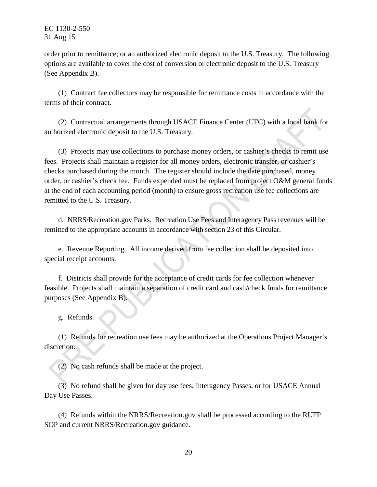EC 1130-2-550 31 Aug 15

order prior to remittance; or an authorized electronic deposit to the U.S. Treasury. The following options are available to cover the cost of conversion or electronic deposit to the U.S. Treasury (See Appendix B).

(1) Contract fee collectors may be responsible for remittance costs in accordance with the terms of their contract.

(2) Contractual arrangements through USACE Finance Center (UFC) with a local bank for authorized electronic deposit to the U.S. Treasury.

(3) Projects may use collections to purchase money orders, or cashier's checks to remit use fees. Projects shall maintain a register for all money orders, electronic transfer, or cashier's checks purchased during the month. The register should include the date purchased, money order, or cashier's check fee. Funds expended must be replaced from project O&M general funds at the end of each accounting period (month) to ensure gross recreation use fee collections are remitted to the U.S. Treasury.

d. NRRS/Recreation.gov Parks. Recreation Use Fees and Interagency Pass revenues will be remitted to the appropriate accounts in accordance with section 23 of this Circular.

e. Revenue Reporting. All income derived from fee collection shall be deposited into special receipt accounts.

f. Districts shall provide for the acceptance of credit cards for fee collection whenever feasible. Projects shall maintain a separation of credit card and cash/check funds for remittance purposes (See Appendix B).

g. Refunds.

(1) Refunds for recreation use fees may be authorized at the Operations Project Manager's discretion.

(2) No cash refunds shall be made at the project.

(3) No refund shall be given for day use fees, Interagency Passes, or for USACE Annual Day Use Passes.

(4) Refunds within the NRRS/Recreation.gov shall be processed according to the RUFP SOP and current NRRS/Recreation.gov guidance.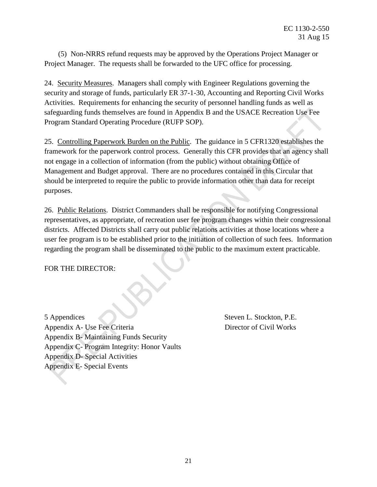(5) Non-NRRS refund requests may be approved by the Operations Project Manager or Project Manager. The requests shall be forwarded to the UFC office for processing.

24. Security Measures. Managers shall comply with Engineer Regulations governing the security and storage of funds, particularly ER 37-1-30, Accounting and Reporting Civil Works Activities. Requirements for enhancing the security of personnel handling funds as well as safeguarding funds themselves are found in Appendix B and the USACE Recreation Use Fee Program Standard Operating Procedure (RUFP SOP).

25. Controlling Paperwork Burden on the Public. The guidance in 5 CFR1320 establishes the framework for the paperwork control process. Generally this CFR provides that an agency shall not engage in a collection of information (from the public) without obtaining Office of Management and Budget approval. There are no procedures contained in this Circular that should be interpreted to require the public to provide information other than data for receipt purposes.

26. Public Relations. District Commanders shall be responsible for notifying Congressional representatives, as appropriate, of recreation user fee program changes within their congressional districts. Affected Districts shall carry out public relations activities at those locations where a user fee program is to be established prior to the initiation of collection of such fees. Information regarding the program shall be disseminated to the public to the maximum extent practicable.

FOR THE DIRECTOR:

5 Appendices Steven L. Stockton, P.E. Appendix A- Use Fee Criteria Director of Civil Works Appendix B- Maintaining Funds Security Appendix C- Program Integrity: Honor Vaults Appendix D- Special Activities Appendix E- Special Events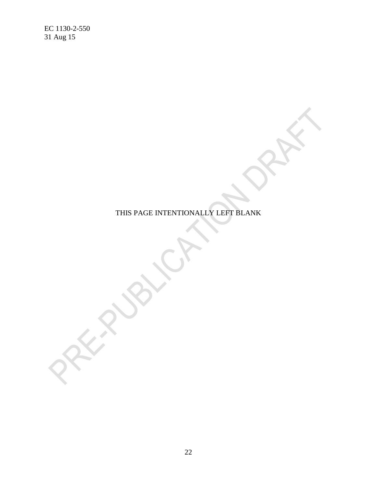EC 1130-2-550 31 Aug 15

# THIS PAGE INTENTIONALLY LEFT BLANK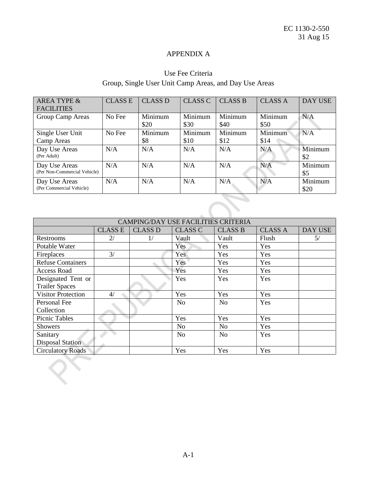# APPENDIX A

# Use Fee Criteria

# Group, Single User Unit Camp Areas, and Day Use Areas

| <b>AREA TYPE &amp;</b>       | <b>CLASS E</b> | <b>CLASS D</b> | <b>CLASS C</b> | <b>CLASS B</b> | <b>CLASS A</b> | <b>DAY USE</b> |
|------------------------------|----------------|----------------|----------------|----------------|----------------|----------------|
| <b>FACILITIES</b>            |                |                |                |                |                |                |
| Group Camp Areas             | No Fee         | Minimum        | Minimum        | Minimum        | Minimum        | N/A            |
|                              |                | \$20           | \$30           | \$40           | \$50           |                |
| Single User Unit             | No Fee         | Minimum        | Minimum        | Minimum        | Minimum        | N/A            |
| Camp Areas                   |                | \$8            | \$10           | \$12           | \$14           |                |
| Day Use Areas                | N/A            | N/A            | N/A            | N/A            | N/A            | Minimum        |
| (Per Adult)                  |                |                |                |                |                | \$2            |
| Day Use Areas                | N/A            | N/A            | N/A            | N/A            | N/A            | Minimum        |
| (Per Non-Commercial Vehicle) |                |                |                |                |                | \$5            |
| Day Use Areas                | N/A            | N/A            | N/A            | N/A            | N/A            | Minimum        |
| (Per Commercial Vehicle)     |                |                |                |                |                | \$20           |

| <b>CAMPING/DAY USE FACILITIES CRITERIA</b> |                |                |                  |                |                |         |
|--------------------------------------------|----------------|----------------|------------------|----------------|----------------|---------|
|                                            | <b>CLASS E</b> | <b>CLASS D</b> | <b>CLASS C</b>   | <b>CLASS B</b> | <b>CLASS A</b> | DAY USE |
| Restrooms                                  | 2/             |                | Vault            | Vault          | Flush          | 5/      |
| Potable Water                              |                |                | Yes              | Yes            | Yes            |         |
| Fireplaces                                 | 3/             |                | Yes <sup>®</sup> | Yes            | Yes            |         |
| <b>Refuse Containers</b>                   |                |                | Yes              | Yes            | Yes            |         |
| <b>Access Road</b>                         |                |                | Yes              | Yes            | Yes            |         |
| Designated Tent or                         |                |                | Yes              | Yes            | Yes            |         |
| <b>Trailer Spaces</b>                      |                |                |                  |                |                |         |
| <b>Visitor Protection</b>                  | 4/             |                | Yes              | Yes            | Yes            |         |
| Personal Fee                               |                |                | No               | N <sub>o</sub> | Yes            |         |
| Collection                                 |                |                |                  |                |                |         |
| Picnic Tables                              |                |                | Yes              | Yes            | Yes            |         |
| <b>Showers</b>                             |                |                | No               | N <sub>o</sub> | Yes            |         |
| Sanitary                                   |                |                | N <sub>0</sub>   | N <sub>0</sub> | Yes            |         |
| <b>Disposal Station</b>                    |                |                |                  |                |                |         |
| <b>Circulatory Roads</b>                   |                |                | Yes              | Yes            | Yes            |         |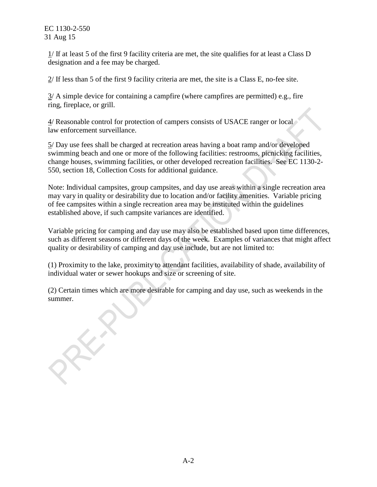EC 1130-2-550 31 Aug 15

 $\frac{1}{I}$  If at least 5 of the first 9 facility criteria are met, the site qualifies for at least a Class D designation and a fee may be charged.

2/ If less than 5 of the first 9 facility criteria are met, the site is a Class E, no-fee site.

3/ A simple device for containing a campfire (where campfires are permitted) e.g., fire ring, fireplace, or grill.

4/ Reasonable control for protection of campers consists of USACE ranger or local law enforcement surveillance.

5/ Day use fees shall be charged at recreation areas having a boat ramp and/or developed swimming beach and one or more of the following facilities: restrooms, picnicking facilities, change houses, swimming facilities, or other developed recreation facilities. See EC 1130-2- 550, section 18, Collection Costs for additional guidance.

Note: Individual campsites, group campsites, and day use areas within a single recreation area may vary in quality or desirability due to location and/or facility amenities. Variable pricing of fee campsites within a single recreation area may be instituted within the guidelines established above, if such campsite variances are identified.

Variable pricing for camping and day use may also be established based upon time differences, such as different seasons or different days of the week. Examples of variances that might affect quality or desirability of camping and day use include, but are not limited to:

(1) Proximity to the lake, proximity to attendant facilities, availability of shade, availability of individual water or sewer hookups and size or screening of site.

(2) Certain times which are more desirable for camping and day use, such as weekends in the summer.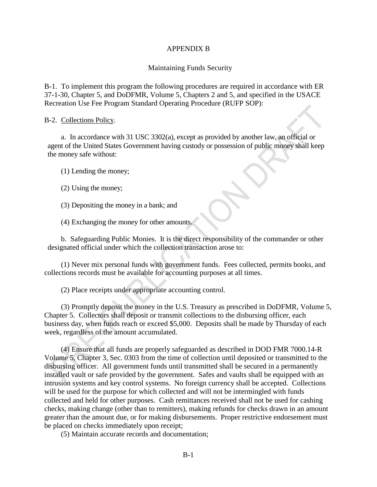## APPENDIX B

#### Maintaining Funds Security

B-1. To implement this program the following procedures are required in accordance with ER 37-1-30, Chapter 5, and DoDFMR, Volume 5, Chapters 2 and 5, and specified in the USACE Recreation Use Fee Program Standard Operating Procedure (RUFP SOP):

#### B-2. Collections Policy.

a. In accordance with 31 USC 3302(a), except as provided by another law, an official or agent of the United States Government having custody or possession of public money shall keep the money safe without:

(1) Lending the money;

(2) Using the money;

(3) Depositing the money in a bank; and

(4) Exchanging the money for other amounts.

b. Safeguarding Public Monies. It is the direct responsibility of the commander or other designated official under which the collection transaction arose to:

(1) Never mix personal funds with government funds. Fees collected, permits books, and collections records must be available for accounting purposes at all times.

(2) Place receipts under appropriate accounting control.

(3) Promptly deposit the money in the U.S. Treasury as prescribed in DoDFMR, Volume 5, Chapter 5. Collectors shall deposit or transmit collections to the disbursing officer, each business day, when funds reach or exceed \$5,000. Deposits shall be made by Thursday of each week, regardless of the amount accumulated.

(4) Ensure that all funds are properly safeguarded as described in DOD FMR 7000.14-R Volume 5, Chapter 3, Sec. 0303 from the time of collection until deposited or transmitted to the disbursing officer. All government funds until transmitted shall be secured in a permanently installed vault or safe provided by the government. Safes and vaults shall be equipped with an intrusion systems and key control systems. No foreign currency shall be accepted. Collections will be used for the purpose for which collected and will not be intermingled with funds collected and held for other purposes. Cash remittances received shall not be used for cashing checks, making change (other than to remitters), making refunds for checks drawn in an amount greater than the amount due, or for making disbursements. Proper restrictive endorsement must be placed on checks immediately upon receipt;

(5) Maintain accurate records and documentation;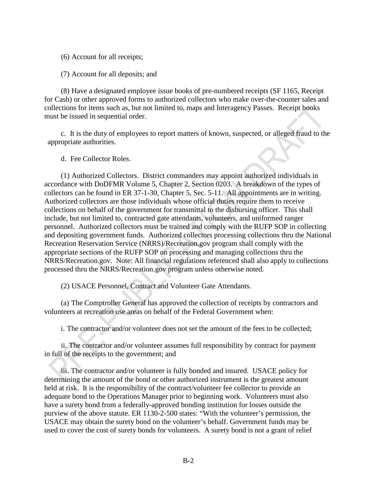(6) Account for all receipts;

(7) Account for all deposits; and

(8) Have a designated employee issue books of pre-numbered receipts (SF 1165, Receipt for Cash) or other approved forms to authorized collectors who make over-the-counter sales and collections for items such as, but not limited to, maps and Interagency Passes. Receipt books must be issued in sequential order.

c. It is the duty of employees to report matters of known, suspected, or alleged fraud to the appropriate authorities.

d. Fee Collector Roles.

(1) Authorized Collectors. District commanders may appoint authorized individuals in accordance with DoDFMR Volume 5, Chapter 2, Section 0203. A breakdown of the types of collectors can be found in ER 37-1-30, Chapter 5, Sec. 5-11. All appointments are in writing. Authorized collectors are those individuals whose official duties require them to receive collections on behalf of the government for transmittal to the disbursing officer. This shall include, but not limited to, contracted gate attendants, volunteers, and uniformed ranger personnel. Authorized collectors must be trained and comply with the RUFP SOP in collecting and depositing government funds. Authorized collectors processing collections thru the National Recreation Reservation Service (NRRS)/Recreation.gov program shall comply with the appropriate sections of the RUFP SOP on processing and managing collections thru the NRRS/Recreation.gov. Note: All financial regulations referenced shall also apply to collections processed thru the NRRS/Recreation.gov program unless otherwise noted.

(2) USACE Personnel, Contract and Volunteer Gate Attendants.

(a) The Comptroller General has approved the collection of receipts by contractors and volunteers at recreation use areas on behalf of the Federal Government when:

i. The contractor and/or volunteer does not set the amount of the fees to be collected;

ii. The contractor and/or volunteer assumes full responsibility by contract for payment in full of the receipts to the government; and

iii. The contractor and/or volunteer is fully bonded and insured. USACE policy for determining the amount of the bond or other authorized instrument is the greatest amount held at risk. It is the responsibility of the contract/volunteer fee collector to provide an adequate bond to the Operations Manager prior to beginning work. Volunteers must also have a surety bond from a federally-approved bonding institution for losses outside the purview of the above statute. ER 1130-2-500 states: "With the volunteer's permission, the USACE may obtain the surety bond on the volunteer's behalf. Government funds may be used to cover the cost of surety bonds for volunteers. A surety bond is not a grant of relief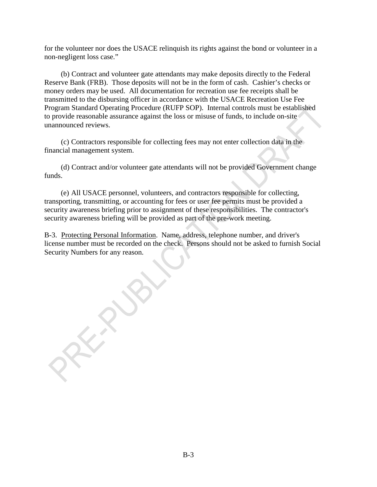for the volunteer nor does the USACE relinquish its rights against the bond or volunteer in a non-negligent loss case."

(b) Contract and volunteer gate attendants may make deposits directly to the Federal Reserve Bank (FRB). Those deposits will not be in the form of cash. Cashier's checks or money orders may be used. All documentation for recreation use fee receipts shall be transmitted to the disbursing officer in accordance with the USACE Recreation Use Fee Program Standard Operating Procedure (RUFP SOP). Internal controls must be established to provide reasonable assurance against the loss or misuse of funds, to include on-site unannounced reviews.

(c) Contractors responsible for collecting fees may not enter collection data in the financial management system.

(d) Contract and/or volunteer gate attendants will not be provided Government change funds.

(e) All USACE personnel, volunteers, and contractors responsible for collecting, transporting, transmitting, or accounting for fees or user fee permits must be provided a security awareness briefing prior to assignment of these responsibilities. The contractor's security awareness briefing will be provided as part of the pre-work meeting.

B-3. Protecting Personal Information. Name, address, telephone number, and driver's license number must be recorded on the check. Persons should not be asked to furnish Social Security Numbers for any reason.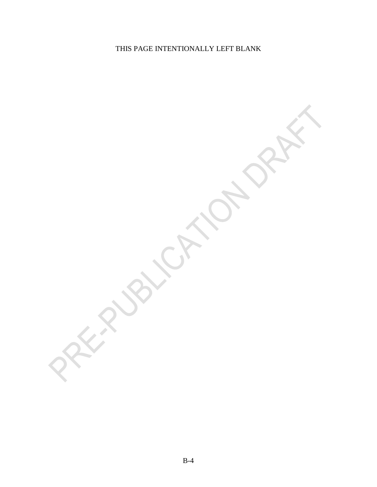# THIS PAGE INTENTIONALLY LEFT BLANK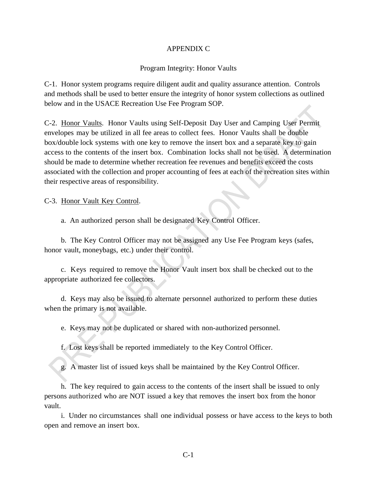# APPENDIX C

# Program Integrity: Honor Vaults

C-1. Honor system programs require diligent audit and quality assurance attention. Controls and methods shall be used to better ensure the integrity of honor system collections as outlined below and in the USACE Recreation Use Fee Program SOP.

C-2. Honor Vaults. Honor Vaults using Self-Deposit Day User and Camping User Permit envelopes may be utilized in all fee areas to collect fees. Honor Vaults shall be double box/double lock systems with one key to remove the insert box and a separate key to gain access to the contents of the insert box. Combination locks shall not be used. A determination should be made to determine whether recreation fee revenues and benefits exceed the costs associated with the collection and proper accounting of fees at each of the recreation sites within their respective areas of responsibility.

C-3. Honor Vault Key Control.

a. An authorized person shall be designated Key Control Officer.

b. The Key Control Officer may not be assigned any Use Fee Program keys (safes, honor vault, moneybags, etc.) under their control.

c. Keys required to remove the Honor Vault insert box shall be checked out to the appropriate authorized fee collectors.

d. Keys may also be issued to alternate personnel authorized to perform these duties when the primary is not available.

e. Keys may not be duplicated or shared with non-authorized personnel.

f. Lost keys shall be reported immediately to the Key Control Officer.

g. A master list of issued keys shall be maintained by the Key Control Officer.

h. The key required to gain access to the contents of the insert shall be issued to only persons authorized who are NOT issued a key that removes the insert box from the honor vault.

i. Under no circumstances shall one individual possess or have access to the keys to both open and remove an insert box.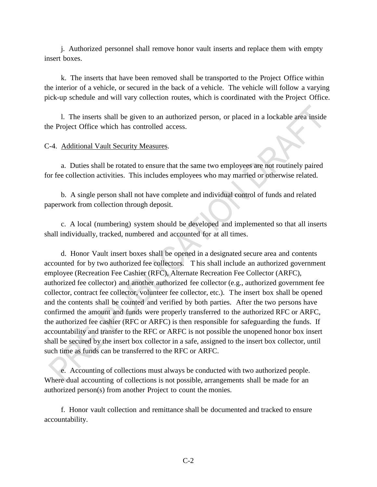j. Authorized personnel shall remove honor vault inserts and replace them with empty insert boxes.

k. The inserts that have been removed shall be transported to the Project Office within the interior of a vehicle, or secured in the back of a vehicle. The vehicle will follow a varying pick-up schedule and will vary collection routes, which is coordinated with the Project Office.

l. The inserts shall be given to an authorized person, or placed in a lockable area inside the Project Office which has controlled access.

## C-4. Additional Vault Security Measures.

a. Duties shall be rotated to ensure that the same two employees are not routinely paired for fee collection activities. This includes employees who may married or otherwise related.

b. A single person shall not have complete and individual control of funds and related paperwork from collection through deposit.

c. A local (numbering) system should be developed and implemented so that all inserts shall individually, tracked, numbered and accounted for at all times.

d. Honor Vault insert boxes shall be opened in a designated secure area and contents accounted for by two authorized fee collectors. T his shall include an authorized government employee (Recreation Fee Cashier (RFC), Alternate Recreation Fee Collector (ARFC), authorized fee collector) and another authorized fee collector (e.g., authorized government fee collector, contract fee collector, volunteer fee collector, etc.). The insert box shall be opened and the contents shall be counted and verified by both parties. After the two persons have confirmed the amount and funds were properly transferred to the authorized RFC or ARFC, the authorized fee cashier (RFC or ARFC) is then responsible for safeguarding the funds. If accountability and transfer to the RFC or ARFC is not possible the unopened honor box insert shall be secured by the insert box collector in a safe, assigned to the insert box collector, until such time as funds can be transferred to the RFC or ARFC.

e. Accounting of collections must always be conducted with two authorized people. Where dual accounting of collections is not possible, arrangements shall be made for an authorized person(s) from another Project to count the monies.

f. Honor vault collection and remittance shall be documented and tracked to ensure accountability.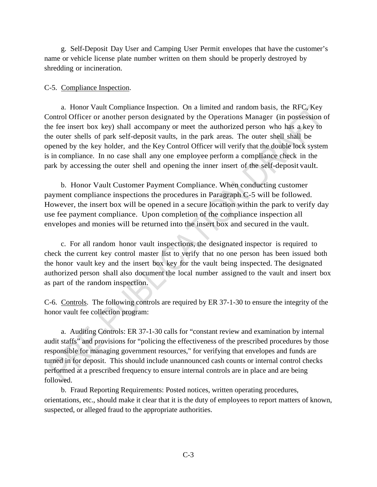g. Self-Deposit Day User and Camping User Permit envelopes that have the customer's name or vehicle license plate number written on them should be properly destroyed by shredding or incineration.

#### C-5. Compliance Inspection.

a. Honor Vault Compliance Inspection. On a limited and random basis, the RFC, Key Control Officer or another person designated by the Operations Manager (in possession of the fee insert box key) shall accompany or meet the authorized person who has a key to the outer shells of park self-deposit vaults, in the park areas. The outer shell shall be opened by the key holder, and the Key Control Officer will verify that the double lock system is in compliance. In no case shall any one employee perform a compliance check in the park by accessing the outer shell and opening the inner insert of the self-deposit vault.

b. Honor Vault Customer Payment Compliance. When conducting customer payment compliance inspections the procedures in Paragraph C-5 will be followed. However, the insert box will be opened in a secure location within the park to verify day use fee payment compliance. Upon completion of the compliance inspection all envelopes and monies will be returned into the insert box and secured in the vault.

c. For all random honor vault inspections, the designated inspector is required to check the current key control master list to verify that no one person has been issued both the honor vault key and the insert box key for the vault being inspected. The designated authorized person shall also document the local number assigned to the vault and insert box as part of the random inspection.

C-6. Controls. The following controls are required by ER 37-1-30 to ensure the integrity of the honor vault fee collection program:

a. Auditing Controls: ER 37-1-30 calls for "constant review and examination by internal audit staffs" and provisions for "policing the effectiveness of the prescribed procedures by those responsible for managing government resources," for verifying that envelopes and funds are turned in for deposit. This should include unannounced cash counts or internal control checks performed at a prescribed frequency to ensure internal controls are in place and are being followed.

b. Fraud Reporting Requirements: Posted notices, written operating procedures, orientations, etc., should make it clear that it is the duty of employees to report matters of known, suspected, or alleged fraud to the appropriate authorities.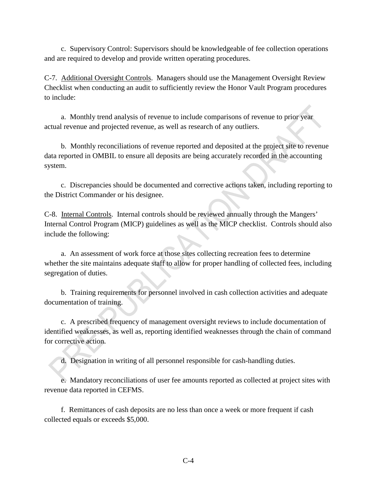c. Supervisory Control: Supervisors should be knowledgeable of fee collection operations and are required to develop and provide written operating procedures.

C-7. Additional Oversight Controls. Managers should use the Management Oversight Review Checklist when conducting an audit to sufficiently review the Honor Vault Program procedures to include:

a. Monthly trend analysis of revenue to include comparisons of revenue to prior year actual revenue and projected revenue, as well as research of any outliers.

b. Monthly reconciliations of revenue reported and deposited at the project site to revenue data reported in OMBIL to ensure all deposits are being accurately recorded in the accounting system.

c. Discrepancies should be documented and corrective actions taken, including reporting to the District Commander or his designee.

C-8. Internal Controls. Internal controls should be reviewed annually through the Mangers' Internal Control Program (MICP) guidelines as well as the MICP checklist. Controls should also include the following:

a. An assessment of work force at those sites collecting recreation fees to determine whether the site maintains adequate staff to allow for proper handling of collected fees, including segregation of duties.

b. Training requirements for personnel involved in cash collection activities and adequate documentation of training.

c. A prescribed frequency of management oversight reviews to include documentation of identified weaknesses, as well as, reporting identified weaknesses through the chain of command for corrective action.

d. Designation in writing of all personnel responsible for cash-handling duties.

e. Mandatory reconciliations of user fee amounts reported as collected at project sites with revenue data reported in CEFMS.

f. Remittances of cash deposits are no less than once a week or more frequent if cash collected equals or exceeds \$5,000.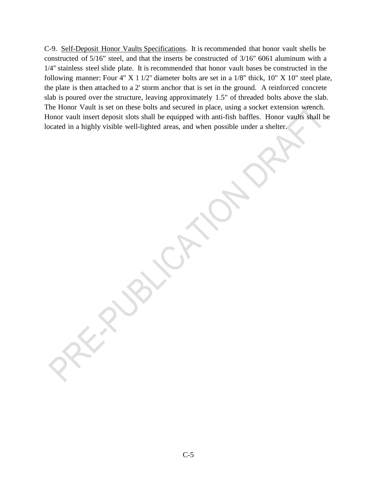C-9. Self-Deposit Honor Vaults Specifications. It is recommended that honor vault shells be constructed of 5/16" steel, and that the inserts be constructed of 3/16" 6061 aluminum with a 1/4" stainless steel slide plate. It is recommended that honor vault bases be constructed in the following manner: Four 4"  $X$  1 1/2" diameter bolts are set in a 1/8" thick, 10"  $X$  10" steel plate, the plate is then attached to a 2' storm anchor that is set in the ground. A reinforced concrete slab is poured over the structure, leaving approximately 1.5" of threaded bolts above the slab. The Honor Vault is set on these bolts and secured in place, using a socket extension wrench. Honor vault insert deposit slots shall be equipped with anti-fish baffles. Honor vaults shall be located in a highly visible well-lighted areas, and when possible under a shelter.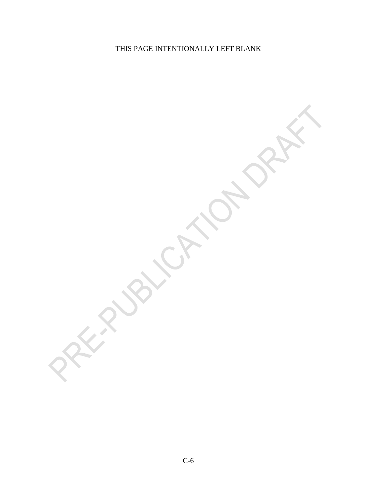# THIS PAGE INTENTIONALLY LEFT BLANK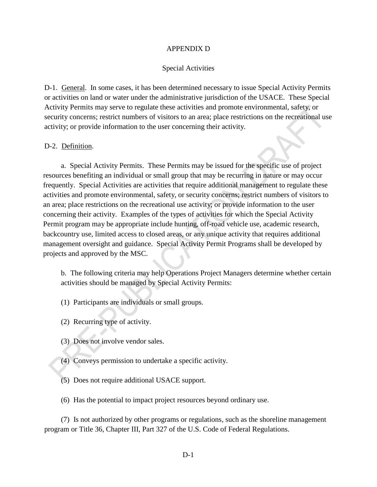#### APPENDIX D

#### Special Activities

D-1. General. In some cases, it has been determined necessary to issue Special Activity Permits or activities on land or water under the administrative jurisdiction of the USACE. These Special Activity Permits may serve to regulate these activities and promote environmental, safety, or security concerns; restrict numbers of visitors to an area; place restrictions on the recreational use activity; or provide information to the user concerning their activity.

#### D-2. Definition.

a. Special Activity Permits. These Permits may be issued for the specific use of project resources benefiting an individual or small group that may be recurring in nature or may occur frequently. Special Activities are activities that require additional management to regulate these activities and promote environmental, safety, or security concerns; restrict numbers of visitors to an area; place restrictions on the recreational use activity; or provide information to the user concerning their activity. Examples of the types of activities for which the Special Activity Permit program may be appropriate include hunting, off-road vehicle use, academic research, backcountry use, limited access to closed areas, or any unique activity that requires additional management oversight and guidance. Special Activity Permit Programs shall be developed by projects and approved by the MSC.

b. The following criteria may help Operations Project Managers determine whether certain activities should be managed by Special Activity Permits:

- (1) Participants are individuals or small groups.
- (2) Recurring type of activity.
- (3) Does not involve vendor sales.
- (4) Conveys permission to undertake a specific activity.
- (5) Does not require additional USACE support.
- (6) Has the potential to impact project resources beyond ordinary use.

(7) Is not authorized by other programs or regulations, such as the shoreline management program or Title 36, Chapter III, Part 327 of the U.S. Code of Federal Regulations.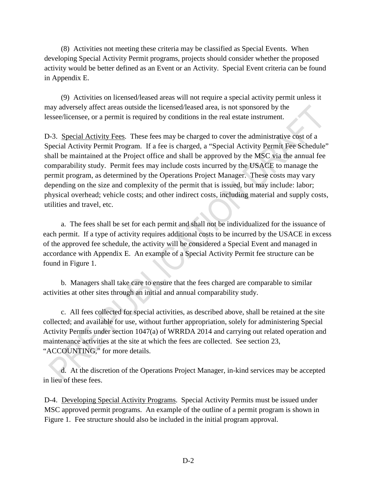(8) Activities not meeting these criteria may be classified as Special Events. When developing Special Activity Permit programs, projects should consider whether the proposed activity would be better defined as an Event or an Activity. Special Event criteria can be found in Appendix E.

(9) Activities on licensed/leased areas will not require a special activity permit unless it may adversely affect areas outside the licensed/leased area, is not sponsored by the lessee/licensee, or a permit is required by conditions in the real estate instrument.

D-3. Special Activity Fees. These fees may be charged to cover the administrative cost of a Special Activity Permit Program. If a fee is charged, a "Special Activity Permit Fee Schedule" shall be maintained at the Project office and shall be approved by the MSC via the annual fee comparability study. Permit fees may include costs incurred by the USACE to manage the permit program, as determined by the Operations Project Manager. These costs may vary depending on the size and complexity of the permit that is issued, but may include: labor; physical overhead; vehicle costs; and other indirect costs, including material and supply costs, utilities and travel, etc.

a. The fees shall be set for each permit and shall not be individualized for the issuance of each permit. If a type of activity requires additional costs to be incurred by the USACE in excess of the approved fee schedule, the activity will be considered a Special Event and managed in accordance with Appendix E. An example of a Special Activity Permit fee structure can be found in Figure 1.

b. Managers shall take care to ensure that the fees charged are comparable to similar activities at other sites through an initial and annual comparability study.

c. All fees collected for special activities, as described above, shall be retained at the site collected; and available for use, without further appropriation, solely for administering Special Activity Permits under section 1047(a) of WRRDA 2014 and carrying out related operation and maintenance activities at the site at which the fees are collected. See section 23, "ACCOUNTING," for more details.

d. At the discretion of the Operations Project Manager, in-kind services may be accepted in lieu of these fees.

D-4. Developing Special Activity Programs. Special Activity Permits must be issued under MSC approved permit programs. An example of the outline of a permit program is shown in Figure 1. Fee structure should also be included in the initial program approval.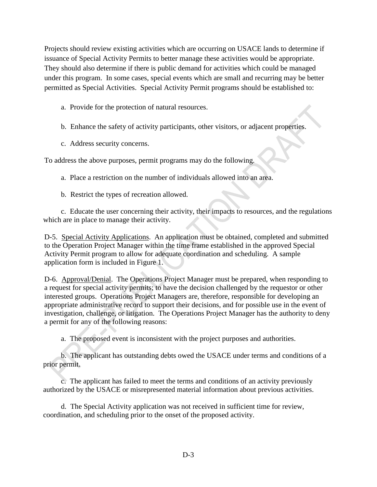Projects should review existing activities which are occurring on USACE lands to determine if issuance of Special Activity Permits to better manage these activities would be appropriate. They should also determine if there is public demand for activities which could be managed under this program. In some cases, special events which are small and recurring may be better permitted as Special Activities. Special Activity Permit programs should be established to:

- a. Provide for the protection of natural resources.
- b. Enhance the safety of activity participants, other visitors, or adjacent properties.
- c. Address security concerns.

To address the above purposes, permit programs may do the following.

a. Place a restriction on the number of individuals allowed into an area.

b. Restrict the types of recreation allowed.

c. Educate the user concerning their activity, their impacts to resources, and the regulations which are in place to manage their activity.

D-5. Special Activity Applications. An application must be obtained, completed and submitted to the Operation Project Manager within the time frame established in the approved Special Activity Permit program to allow for adequate coordination and scheduling. A sample application form is included in Figure 1.

D-6. Approval/Denial. The Operations Project Manager must be prepared, when responding to a request for special activity permits; to have the decision challenged by the requestor or other interested groups. Operations Project Managers are, therefore, responsible for developing an appropriate administrative record to support their decisions, and for possible use in the event of investigation, challenge, or litigation. The Operations Project Manager has the authority to deny a permit for any of the following reasons:

a. The proposed event is inconsistent with the project purposes and authorities.

b. The applicant has outstanding debts owed the USACE under terms and conditions of a prior permit.

c. The applicant has failed to meet the terms and conditions of an activity previously authorized by the USACE or misrepresented material information about previous activities.

d. The Special Activity application was not received in sufficient time for review, coordination, and scheduling prior to the onset of the proposed activity.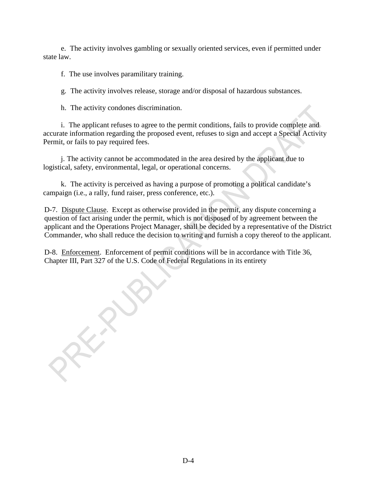e. The activity involves gambling or sexually oriented services, even if permitted under state law.

f. The use involves paramilitary training.

g. The activity involves release, storage and/or disposal of hazardous substances.

h. The activity condones discrimination.

i. The applicant refuses to agree to the permit conditions, fails to provide complete and accurate information regarding the proposed event, refuses to sign and accept a Special Activity Permit, or fails to pay required fees.

j. The activity cannot be accommodated in the area desired by the applicant due to logistical, safety, environmental, legal, or operational concerns.

k. The activity is perceived as having a purpose of promoting a political candidate's campaign (i.e., a rally, fund raiser, press conference, etc.).

D-7. Dispute Clause. Except as otherwise provided in the permit, any dispute concerning a question of fact arising under the permit, which is not disposed of by agreement between the applicant and the Operations Project Manager, shall be decided by a representative of the District Commander, who shall reduce the decision to writing and furnish a copy thereof to the applicant.

D-8. Enforcement. Enforcement of permit conditions will be in accordance with Title 36, Chapter III, Part 327 of the U.S. Code of Federal Regulations in its entirety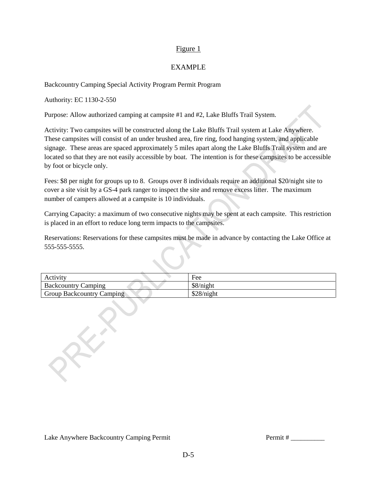# Figure 1

## EXAMPLE

Backcountry Camping Special Activity Program Permit Program

Authority: EC 1130-2-550

Purpose: Allow authorized camping at campsite #1 and #2, Lake Bluffs Trail System.

Activity: Two campsites will be constructed along the Lake Bluffs Trail system at Lake Anywhere. These campsites will consist of an under brushed area, fire ring, food hanging system, and applicable signage. These areas are spaced approximately 5 miles apart along the Lake Bluffs Trail system and are located so that they are not easily accessible by boat. The intention is for these campsites to be accessible by foot or bicycle only.

Fees: \$8 per night for groups up to 8. Groups over 8 individuals require an additional \$20/night site to cover a site visit by a GS-4 park ranger to inspect the site and remove excess litter. The maximum number of campers allowed at a campsite is 10 individuals.

Carrying Capacity: a maximum of two consecutive nights may be spent at each campsite. This restriction is placed in an effort to reduce long term impacts to the campsites.

Reservations: Reservations for these campsites must be made in advance by contacting the Lake Office at 555-555-5555.

| Activity                         | Fee        |
|----------------------------------|------------|
| <b>Backcountry Camping</b>       | \$8/night  |
| <b>Group Backcountry Camping</b> | \$28/night |

|  | Lake Anywhere Backcountry Camping Permit |  |
|--|------------------------------------------|--|
|  |                                          |  |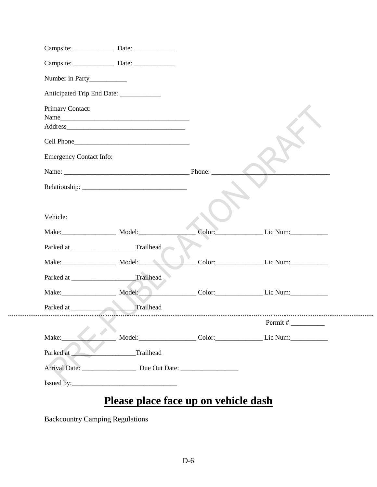|                                                                                                                | $Campsite: \n$                           |               |                 |
|----------------------------------------------------------------------------------------------------------------|------------------------------------------|---------------|-----------------|
|                                                                                                                |                                          |               |                 |
| Number in Party                                                                                                |                                          |               |                 |
|                                                                                                                | Anticipated Trip End Date: _____________ |               |                 |
| Primary Contact:                                                                                               |                                          |               |                 |
|                                                                                                                |                                          |               |                 |
|                                                                                                                |                                          |               |                 |
| <b>Emergency Contact Info:</b>                                                                                 |                                          |               |                 |
|                                                                                                                |                                          |               |                 |
|                                                                                                                |                                          |               |                 |
|                                                                                                                |                                          |               |                 |
| Vehicle:                                                                                                       |                                          |               |                 |
| Make: Model:                                                                                                   |                                          | Color: Color: | Lic Num:        |
|                                                                                                                | Parked at Trailhead                      |               |                 |
|                                                                                                                | Make: Model: Model:                      |               | Color: Lic Num: |
| Parked at                                                                                                      | Trailhead                                |               |                 |
| Make: Name and Allen and Allen and Allen and Allen and Allen and Allen and Allen and Allen and Allen and Allen | Model:                                   |               | Color: Lic Num: |
| Parked at                                                                                                      | Trailhead                                |               |                 |
|                                                                                                                |                                          |               | Permit #        |
| Make:                                                                                                          | Model:                                   |               | Lic Num:        |
| Parked at                                                                                                      | Trailhead                                |               |                 |
|                                                                                                                |                                          |               |                 |
|                                                                                                                | Issued by:                               |               |                 |

# **Please place face up on vehicle dash**

Backcountry Camping Regulations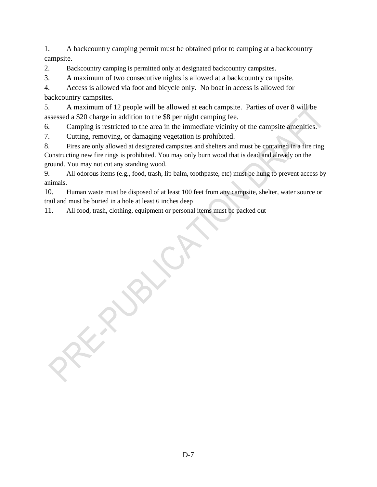1. A backcountry camping permit must be obtained prior to camping at a backcountry campsite.

2. Backcountry camping is permitted only at designated backcountry campsites.

3. A maximum of two consecutive nights is allowed at a backcountry campsite.

4. Access is allowed via foot and bicycle only. No boat in access is allowed for backcountry campsites.

5. A maximum of 12 people will be allowed at each campsite. Parties of over 8 will be assessed a \$20 charge in addition to the \$8 per night camping fee.

6. Camping is restricted to the area in the immediate vicinity of the campsite amenities.

7. Cutting, removing, or damaging vegetation is prohibited.

8. Fires are only allowed at designated campsites and shelters and must be contained in a fire ring. Constructing new fire rings is prohibited. You may only burn wood that is dead and already on the ground. You may not cut any standing wood.

9. All odorous items (e.g., food, trash, lip balm, toothpaste, etc) must be hung to prevent access by animals.

10. Human waste must be disposed of at least 100 feet from any campsite, shelter, water source or trail and must be buried in a hole at least 6 inches deep

11. All food, trash, clothing, equipment or personal items must be packed out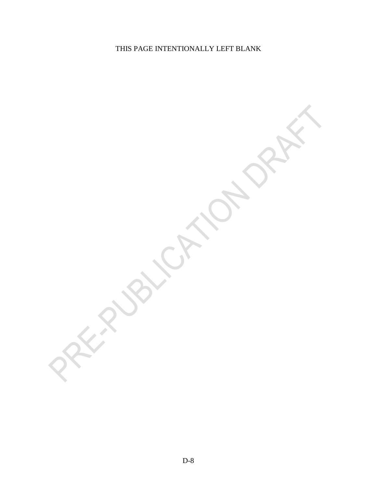# THIS PAGE INTENTIONALLY LEFT BLANK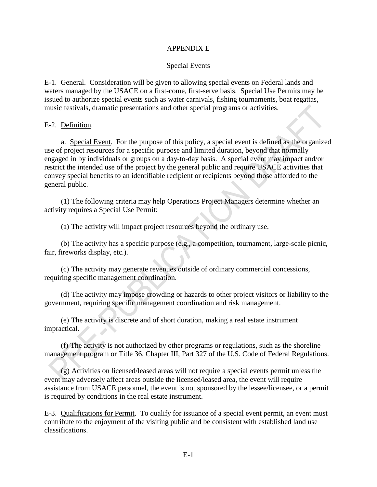## APPENDIX E

## Special Events

E-1. General. Consideration will be given to allowing special events on Federal lands and waters managed by the USACE on a first-come, first-serve basis. Special Use Permits may be issued to authorize special events such as water carnivals, fishing tournaments, boat regattas, music festivals, dramatic presentations and other special programs or activities.

#### E-2. Definition.

a. Special Event. For the purpose of this policy, a special event is defined as the organized use of project resources for a specific purpose and limited duration, beyond that normally engaged in by individuals or groups on a day-to-day basis. A special event may impact and/or restrict the intended use of the project by the general public and require USACE activities that convey special benefits to an identifiable recipient or recipients beyond those afforded to the general public.

(1) The following criteria may help Operations Project Managers determine whether an activity requires a Special Use Permit:

(a) The activity will impact project resources beyond the ordinary use.

(b) The activity has a specific purpose (e.g., a competition, tournament, large-scale picnic, fair, fireworks display, etc.).

(c) The activity may generate revenues outside of ordinary commercial concessions, requiring specific management coordination.

(d) The activity may impose crowding or hazards to other project visitors or liability to the government, requiring specific management coordination and risk management.

(e) The activity is discrete and of short duration, making a real estate instrument impractical.

(f) The activity is not authorized by other programs or regulations, such as the shoreline management program or Title 36, Chapter III, Part 327 of the U.S. Code of Federal Regulations.

(g) Activities on licensed/leased areas will not require a special events permit unless the event may adversely affect areas outside the licensed/leased area, the event will require assistance from USACE personnel, the event is not sponsored by the lessee/licensee, or a permit is required by conditions in the real estate instrument.

E-3. Qualifications for Permit. To qualify for issuance of a special event permit, an event must contribute to the enjoyment of the visiting public and be consistent with established land use classifications.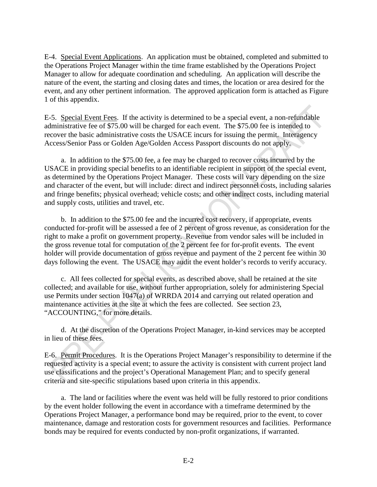E-4. Special Event Applications. An application must be obtained, completed and submitted to the Operations Project Manager within the time frame established by the Operations Project Manager to allow for adequate coordination and scheduling. An application will describe the nature of the event, the starting and closing dates and times, the location or area desired for the event, and any other pertinent information. The approved application form is attached as Figure 1 of this appendix.

E-5. Special Event Fees. If the activity is determined to be a special event, a non-refundable administrative fee of \$75.00 will be charged for each event. The \$75.00 fee is intended to recover the basic administrative costs the USACE incurs for issuing the permit. Interagency Access/Senior Pass or Golden Age/Golden Access Passport discounts do not apply.

a. In addition to the \$75.00 fee, a fee may be charged to recover costs incurred by the USACE in providing special benefits to an identifiable recipient in support of the special event, as determined by the Operations Project Manager. These costs will vary depending on the size and character of the event, but will include: direct and indirect personnel costs, including salaries and fringe benefits; physical overhead; vehicle costs; and other indirect costs, including material and supply costs, utilities and travel, etc.

b. In addition to the \$75.00 fee and the incurred cost recovery, if appropriate, events conducted for-profit will be assessed a fee of 2 percent of gross revenue, as consideration for the right to make a profit on government property. Revenue from vendor sales will be included in the gross revenue total for computation of the 2 percent fee for for-profit events. The event holder will provide documentation of gross revenue and payment of the 2 percent fee within 30 days following the event. The USACE may audit the event holder's records to verify accuracy.

c. All fees collected for special events, as described above, shall be retained at the site collected; and available for use, without further appropriation, solely for administering Special use Permits under section 1047(a) of WRRDA 2014 and carrying out related operation and maintenance activities at the site at which the fees are collected. See section 23, "ACCOUNTING," for more details.

d. At the discretion of the Operations Project Manager, in-kind services may be accepted in lieu of these fees.

E-6. Permit Procedures. It is the Operations Project Manager's responsibility to determine if the requested activity is a special event; to assure the activity is consistent with current project land use classifications and the project's Operational Management Plan; and to specify general criteria and site-specific stipulations based upon criteria in this appendix.

a. The land or facilities where the event was held will be fully restored to prior conditions by the event holder following the event in accordance with a timeframe determined by the Operations Project Manager, a performance bond may be required, prior to the event, to cover maintenance, damage and restoration costs for government resources and facilities. Performance bonds may be required for events conducted by non-profit organizations, if warranted.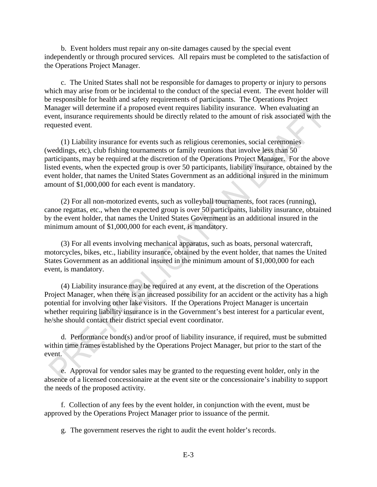b. Event holders must repair any on-site damages caused by the special event independently or through procured services. All repairs must be completed to the satisfaction of the Operations Project Manager.

c. The United States shall not be responsible for damages to property or injury to persons which may arise from or be incidental to the conduct of the special event. The event holder will be responsible for health and safety requirements of participants. The Operations Project Manager will determine if a proposed event requires liability insurance. When evaluating an event, insurance requirements should be directly related to the amount of risk associated with the requested event.

(1) Liability insurance for events such as religious ceremonies, social ceremonies (weddings, etc), club fishing tournaments or family reunions that involve less than 50 participants, may be required at the discretion of the Operations Project Manager. For the above listed events, when the expected group is over 50 participants, liability insurance, obtained by the event holder, that names the United States Government as an additional insured in the minimum amount of \$1,000,000 for each event is mandatory.

(2) For all non-motorized events, such as volleyball tournaments, foot races (running), canoe regattas, etc., when the expected group is over 50 participants, liability insurance, obtained by the event holder, that names the United States Government as an additional insured in the minimum amount of \$1,000,000 for each event, is mandatory.

(3) For all events involving mechanical apparatus, such as boats, personal watercraft, motorcycles, bikes, etc., liability insurance, obtained by the event holder, that names the United States Government as an additional insured in the minimum amount of \$1,000,000 for each event, is mandatory.

(4) Liability insurance may be required at any event, at the discretion of the Operations Project Manager, when there is an increased possibility for an accident or the activity has a high potential for involving other lake visitors. If the Operations Project Manager is uncertain whether requiring liability insurance is in the Government's best interest for a particular event, he/she should contact their district special event coordinator.

d. Performance bond(s) and/or proof of liability insurance, if required, must be submitted within time frames established by the Operations Project Manager, but prior to the start of the event.

e. Approval for vendor sales may be granted to the requesting event holder, only in the absence of a licensed concessionaire at the event site or the concessionaire's inability to support the needs of the proposed activity.

f. Collection of any fees by the event holder, in conjunction with the event, must be approved by the Operations Project Manager prior to issuance of the permit.

g. The government reserves the right to audit the event holder's records.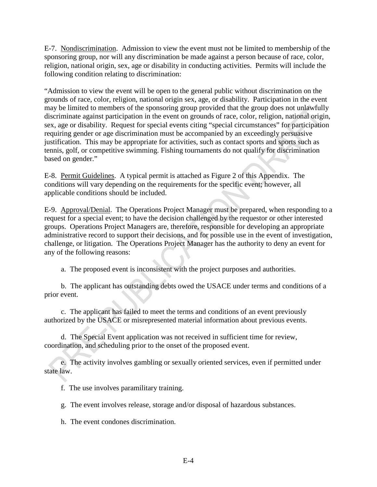E-7. Nondiscrimination. Admission to view the event must not be limited to membership of the sponsoring group, nor will any discrimination be made against a person because of race, color, religion, national origin, sex, age or disability in conducting activities. Permits will include the following condition relating to discrimination:

"Admission to view the event will be open to the general public without discrimination on the grounds of race, color, religion, national origin sex, age, or disability. Participation in the event may be limited to members of the sponsoring group provided that the group does not unlawfully discriminate against participation in the event on grounds of race, color, religion, national origin, sex, age or disability. Request for special events citing "special circumstances" for participation requiring gender or age discrimination must be accompanied by an exceedingly persuasive justification. This may be appropriate for activities, such as contact sports and sports such as tennis, golf, or competitive swimming. Fishing tournaments do not qualify for discrimination based on gender."

E-8. Permit Guidelines. A typical permit is attached as Figure 2 of this Appendix. The conditions will vary depending on the requirements for the specific event; however, all applicable conditions should be included.

E-9. Approval/Denial. The Operations Project Manager must be prepared, when responding to a request for a special event; to have the decision challenged by the requestor or other interested groups. Operations Project Managers are, therefore, responsible for developing an appropriate administrative record to support their decisions, and for possible use in the event of investigation, challenge, or litigation. The Operations Project Manager has the authority to deny an event for any of the following reasons:

a. The proposed event is inconsistent with the project purposes and authorities.

b. The applicant has outstanding debts owed the USACE under terms and conditions of a prior event.

c. The applicant has failed to meet the terms and conditions of an event previously authorized by the USACE or misrepresented material information about previous events.

d. The Special Event application was not received in sufficient time for review, coordination, and scheduling prior to the onset of the proposed event.

e. The activity involves gambling or sexually oriented services, even if permitted under state law.

f. The use involves paramilitary training.

g. The event involves release, storage and/or disposal of hazardous substances.

h. The event condones discrimination.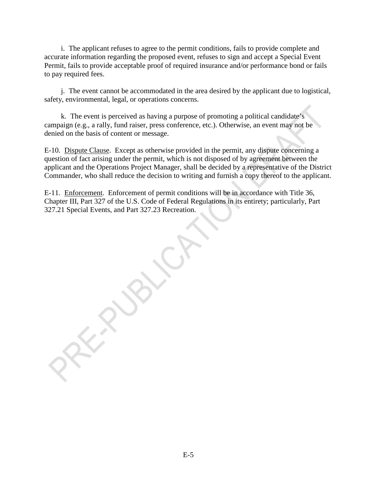i. The applicant refuses to agree to the permit conditions, fails to provide complete and accurate information regarding the proposed event, refuses to sign and accept a Special Event Permit, fails to provide acceptable proof of required insurance and/or performance bond or fails to pay required fees.

j. The event cannot be accommodated in the area desired by the applicant due to logistical, safety, environmental, legal, or operations concerns.

k. The event is perceived as having a purpose of promoting a political candidate's campaign (e.g., a rally, fund raiser, press conference, etc.). Otherwise, an event may not be denied on the basis of content or message.

E-10. Dispute Clause. Except as otherwise provided in the permit, any dispute concerning a question of fact arising under the permit, which is not disposed of by agreement between the applicant and the Operations Project Manager, shall be decided by a representative of the District Commander, who shall reduce the decision to writing and furnish a copy thereof to the applicant.

E-11. Enforcement. Enforcement of permit conditions will be in accordance with Title 36, Chapter III, Part 327 of the U.S. Code of Federal Regulations in its entirety; particularly, Part 327.21 Special Events, and Part 327.23 Recreation.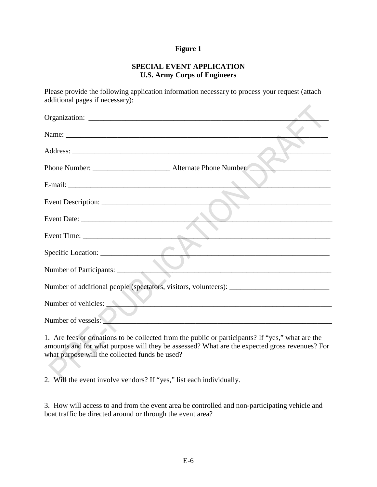# **Figure 1**

## **SPECIAL EVENT APPLICATION U.S. Army Corps of Engineers**

Please provide the following application information necessary to process your request (attach additional pages if necessary): À

| Name:                   |
|-------------------------|
|                         |
|                         |
| E-mail:                 |
|                         |
|                         |
|                         |
|                         |
| Number of Participants: |
|                         |
| Number of vehicles:     |
| Number of vessels:      |

1. Are fees or donations to be collected from the public or participants? If "yes," what are the amounts and for what purpose will they be assessed? What are the expected gross revenues? For what purpose will the collected funds be used?

2. Will the event involve vendors? If "yes," list each individually.

3. How will access to and from the event area be controlled and non-participating vehicle and boat traffic be directed around or through the event area?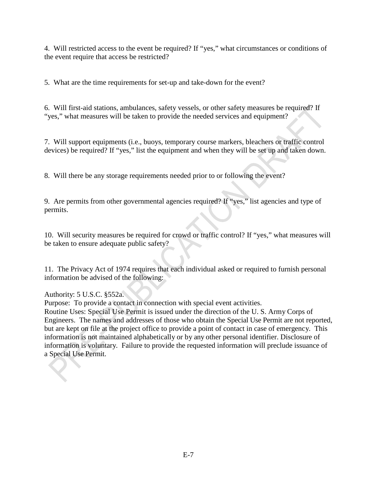4. Will restricted access to the event be required? If "yes," what circumstances or conditions of the event require that access be restricted?

5. What are the time requirements for set-up and take-down for the event?

6. Will first-aid stations, ambulances, safety vessels, or other safety measures be required? If "yes," what measures will be taken to provide the needed services and equipment?

7. Will support equipments (i.e., buoys, temporary course markers, bleachers or traffic control devices) be required? If "yes," list the equipment and when they will be set up and taken down.

8. Will there be any storage requirements needed prior to or following the event?

9. Are permits from other governmental agencies required? If "yes," list agencies and type of permits.

10. Will security measures be required for crowd or traffic control? If "yes," what measures will be taken to ensure adequate public safety?

11. The Privacy Act of 1974 requires that each individual asked or required to furnish personal information be advised of the following:

Authority: 5 U.S.C. §552a.

Purpose: To provide a contact in connection with special event activities.

Routine Uses: Special Use Permit is issued under the direction of the U. S. Army Corps of Engineers. The names and addresses of those who obtain the Special Use Permit are not reported, but are kept on file at the project office to provide a point of contact in case of emergency. This information is not maintained alphabetically or by any other personal identifier. Disclosure of information is voluntary. Failure to provide the requested information will preclude issuance of a Special Use Permit.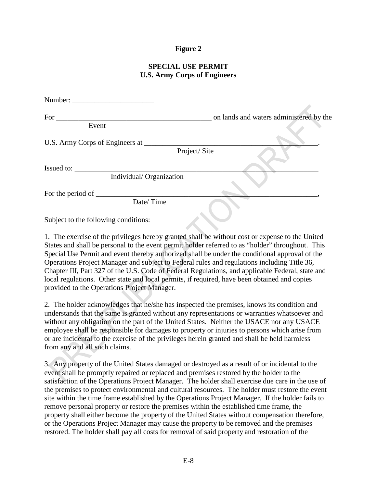# **Figure 2**

# **SPECIAL USE PERMIT U.S. Army Corps of Engineers**

| For                                    | on lands and waters administered by the |
|----------------------------------------|-----------------------------------------|
| Event                                  |                                         |
| U.S. Army Corps of Engineers at ______ |                                         |
| Project/Site                           |                                         |
| Issued to:                             |                                         |
| Individual/Organization                |                                         |
| For the period of _                    |                                         |
| Date/Time                              |                                         |
|                                        |                                         |

Subject to the following conditions:

1. The exercise of the privileges hereby granted shall be without cost or expense to the United States and shall be personal to the event permit holder referred to as "holder" throughout. This Special Use Permit and event thereby authorized shall be under the conditional approval of the Operations Project Manager and subject to Federal rules and regulations including Title 36, Chapter III, Part 327 of the U.S. Code of Federal Regulations, and applicable Federal, state and local regulations. Other state and local permits, if required, have been obtained and copies provided to the Operations Project Manager.

2. The holder acknowledges that he/she has inspected the premises, knows its condition and understands that the same is granted without any representations or warranties whatsoever and without any obligation on the part of the United States. Neither the USACE nor any USACE employee shall be responsible for damages to property or injuries to persons which arise from or are incidental to the exercise of the privileges herein granted and shall be held harmless from any and all such claims.

3. Any property of the United States damaged or destroyed as a result of or incidental to the event shall be promptly repaired or replaced and premises restored by the holder to the satisfaction of the Operations Project Manager. The holder shall exercise due care in the use of the premises to protect environmental and cultural resources. The holder must restore the event site within the time frame established by the Operations Project Manager. If the holder fails to remove personal property or restore the premises within the established time frame, the property shall either become the property of the United States without compensation therefore, or the Operations Project Manager may cause the property to be removed and the premises restored. The holder shall pay all costs for removal of said property and restoration of the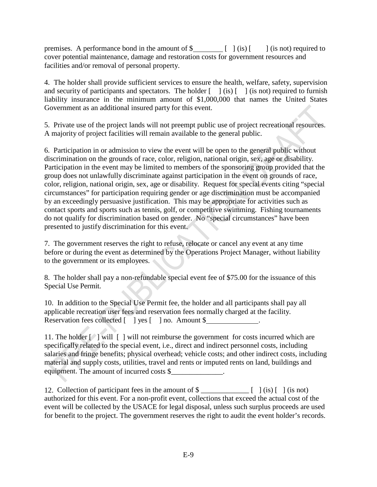premises. A performance bond in the amount of  $\frac{1}{2}$  [ ] (is) [ ] (is not) required to cover potential maintenance, damage and restoration costs for government resources and facilities and/or removal of personal property.

4. The holder shall provide sufficient services to ensure the health, welfare, safety, supervision and security of participants and spectators. The holder  $\begin{bmatrix} 1 \\ 1 \end{bmatrix}$  (is not) required to furnish liability insurance in the minimum amount of \$1,000,000 that names the United States Government as an additional insured party for this event.

5. Private use of the project lands will not preempt public use of project recreational resources. A majority of project facilities will remain available to the general public.

6. Participation in or admission to view the event will be open to the general public without discrimination on the grounds of race, color, religion, national origin, sex, age or disability. Participation in the event may be limited to members of the sponsoring group provided that the group does not unlawfully discriminate against participation in the event on grounds of race, color, religion, national origin, sex, age or disability. Request for special events citing "special circumstances" for participation requiring gender or age discrimination must be accompanied by an exceedingly persuasive justification. This may be appropriate for activities such as contact sports and sports such as tennis, golf, or competitive swimming. Fishing tournaments do not qualify for discrimination based on gender. No "special circumstances" have been presented to justify discrimination for this event.

7. The government reserves the right to refuse, relocate or cancel any event at any time before or during the event as determined by the Operations Project Manager, without liability to the government or its employees.

8. The holder shall pay a non-refundable special event fee of \$75.00 for the issuance of this Special Use Permit.

10. In addition to the Special Use Permit fee, the holder and all participants shall pay all applicable recreation user fees and reservation fees normally charged at the facility. Reservation fees collected [ ] yes [ ] no. Amount \$

11. The holder  $\lceil \cdot \rceil$  will  $\lceil \cdot \rceil$  will not reimburse the government for costs incurred which are specifically related to the special event, i.e., direct and indirect personnel costs, including salaries and fringe benefits; physical overhead; vehicle costs; and other indirect costs, including material and supply costs, utilities, travel and rents or imputed rents on land, buildings and equipment. The amount of incurred costs \$

12. Collection of participant fees in the amount of \$ \_\_\_\_\_\_\_\_\_\_\_\_\_ [ ] (is) [ ] (is not) authorized for this event. For a non-profit event, collections that exceed the actual cost of the event will be collected by the USACE for legal disposal, unless such surplus proceeds are used for benefit to the project. The government reserves the right to audit the event holder's records.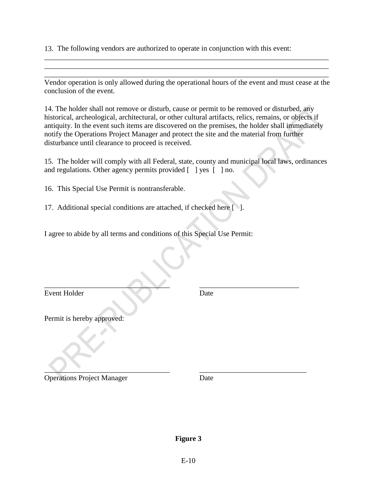13. The following vendors are authorized to operate in conjunction with this event:

Vendor operation is only allowed during the operational hours of the event and must cease at the conclusion of the event.

\_\_\_\_\_\_\_\_\_\_\_\_\_\_\_\_\_\_\_\_\_\_\_\_\_\_\_\_\_\_\_\_\_\_\_\_\_\_\_\_\_\_\_\_\_\_\_\_\_\_\_\_\_\_\_\_\_\_\_\_\_\_\_\_\_\_\_\_\_\_\_\_\_\_\_\_\_ \_\_\_\_\_\_\_\_\_\_\_\_\_\_\_\_\_\_\_\_\_\_\_\_\_\_\_\_\_\_\_\_\_\_\_\_\_\_\_\_\_\_\_\_\_\_\_\_\_\_\_\_\_\_\_\_\_\_\_\_\_\_\_\_\_\_\_\_\_\_\_\_\_\_\_\_\_ \_\_\_\_\_\_\_\_\_\_\_\_\_\_\_\_\_\_\_\_\_\_\_\_\_\_\_\_\_\_\_\_\_\_\_\_\_\_\_\_\_\_\_\_\_\_\_\_\_\_\_\_\_\_\_\_\_\_\_\_\_\_\_\_\_\_\_\_\_\_\_\_\_\_\_\_\_

14. The holder shall not remove or disturb, cause or permit to be removed or disturbed, any historical, archeological, architectural, or other cultural artifacts, relics, remains, or objects if antiquity. In the event such items are discovered on the premises, the holder shall immediately notify the Operations Project Manager and protect the site and the material from further disturbance until clearance to proceed is received.

15. The holder will comply with all Federal, state, county and municipal local laws, ordinances and regulations. Other agency permits provided  $\lceil \cdot \rceil$  yes  $\lceil \cdot \rceil$  no.

16. This Special Use Permit is nontransferable.

17. Additional special conditions are attached, if checked here  $\lceil \cdot \rceil$ .

I agree to abide by all terms and conditions of this Special Use Permit:

 $\bigcap_{i=1}^n\bigcap_{i=1}^n\bigcap_{i=1}^n\bigcap_{i=1}^n\bigcap_{i=1}^n\bigcap_{i=1}^n\bigcap_{i=1}^n\bigcap_{i=1}^n\bigcap_{i=1}^n\bigcap_{i=1}^n\bigcap_{i=1}^n\bigcap_{i=1}^n\bigcap_{i=1}^n\bigcap_{i=1}^n\bigcap_{i=1}^n\bigcap_{i=1}^n\bigcap_{i=1}^n\bigcap_{i=1}^n\bigcap_{i=1}^n\bigcap_{i=1}^n\bigcap_{i=1}^n\bigcap_{i=1}^n$ 

Event Holder Date

Permit is hereby approved:

 $\blacksquare$ **Operations Project Manager Date** 

**Figure 3**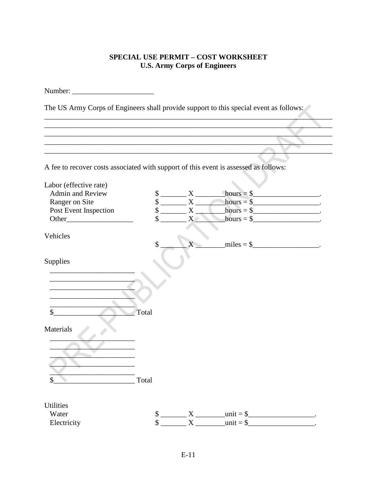# **SPECIAL USE PERMIT - COST WORKSHEET U.S. Army Corps of Engineers**

The US Army Corps of Engineers shall provide support to this special event as follows: A fee to recover costs associated with support of this event is assessed as follows: Labor (effective rate)  $\text{\$}$  X hours = \$ **Admin and Review**  $\text{\$}\_\text{\_}\text{X}\_\text{\_}$  hours = \$ Ranger on Site  $hours = $$ Post Event Inspection  $\text{S}$  X  $X^+$  $\mathbf{\hat{S}}$  $hours = $$ Vehicles  $X$  miles = \$ Supplies  $\mathsf{\$}$  $Total$ Materials Total **Utilities** Water Electricity